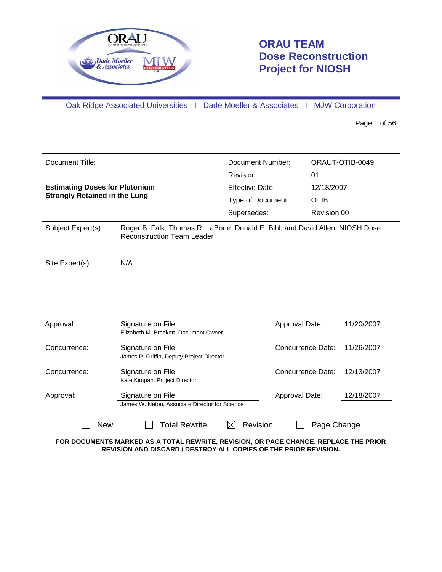

# **ORAU TEAM Dose Reconstruction Project for NIOSH**

Oak Ridge Associated Universities I Dade Moeller & Associates I MJW Corporation

Page 1 of 56

| Document Title:                                |                                                                                                                   | <b>Document Number:</b><br>Revision: | ORAUT-OTIB-0049<br>01 |            |
|------------------------------------------------|-------------------------------------------------------------------------------------------------------------------|--------------------------------------|-----------------------|------------|
|                                                | <b>Estimating Doses for Plutonium</b>                                                                             |                                      | 12/18/2007            |            |
| <b>Strongly Retained in the Lung</b>           |                                                                                                                   | Effective Date:<br>Type of Document: | <b>OTIB</b>           |            |
|                                                |                                                                                                                   | Supersedes:                          | Revision 00           |            |
|                                                |                                                                                                                   |                                      |                       |            |
| Subject Expert(s):                             | Roger B. Falk, Thomas R. LaBone, Donald E. Bihl, and David Allen, NIOSH Dose<br><b>Reconstruction Team Leader</b> |                                      |                       |            |
| N/A<br>Site Expert(s):                         |                                                                                                                   |                                      |                       |            |
|                                                |                                                                                                                   |                                      |                       |            |
| Approval:                                      | Signature on File                                                                                                 | Approval Date:                       |                       | 11/20/2007 |
|                                                | Elizabeth M. Brackett, Document Owner                                                                             |                                      |                       |            |
| Concurrence:                                   | Signature on File                                                                                                 | <b>Concurrence Date:</b>             |                       | 11/26/2007 |
|                                                | James P. Griffin, Deputy Project Director                                                                         |                                      |                       |            |
| Signature on File<br>Concurrence:              |                                                                                                                   |                                      | Concurrence Date:     | 12/13/2007 |
|                                                | Kate Kimpan, Project Director                                                                                     |                                      |                       |            |
| Approval:                                      | Signature on File                                                                                                 | Approval Date:                       |                       | 12/18/2007 |
| James W. Neton, Associate Director for Science |                                                                                                                   |                                      |                       |            |
| <b>New</b>                                     | <b>Total Rewrite</b>                                                                                              | Revision<br>⋉                        | Page Change           |            |

**FOR DOCUMENTS MARKED AS A TOTAL REWRITE, REVISION, OR PAGE CHANGE, REPLACE THE PRIOR REVISION AND DISCARD / DESTROY ALL COPIES OF THE PRIOR REVISION.**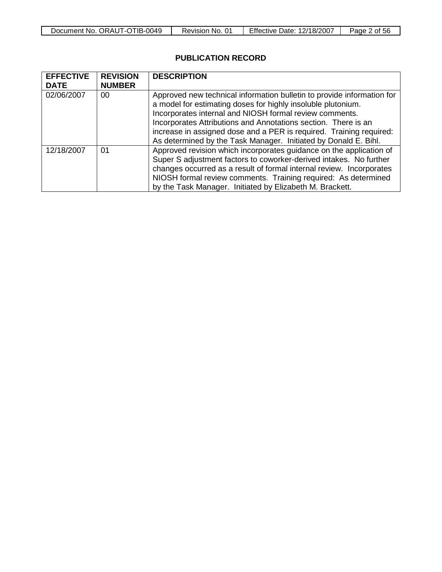| ORAUT-OTIB-0049<br>Document No. | No.<br>Revision | Effective Date:<br>12/18/2007 | -56<br>Page<br>0t |
|---------------------------------|-----------------|-------------------------------|-------------------|

# **PUBLICATION RECORD**

| <b>EFFECTIVE</b><br><b>DATE</b> | <b>REVISION</b><br><b>NUMBER</b> | <b>DESCRIPTION</b>                                                                                                                                                                                                                                                                                                                                                                                            |
|---------------------------------|----------------------------------|---------------------------------------------------------------------------------------------------------------------------------------------------------------------------------------------------------------------------------------------------------------------------------------------------------------------------------------------------------------------------------------------------------------|
| 02/06/2007                      | 00                               | Approved new technical information bulletin to provide information for<br>a model for estimating doses for highly insoluble plutonium.<br>Incorporates internal and NIOSH formal review comments.<br>Incorporates Attributions and Annotations section. There is an<br>increase in assigned dose and a PER is required. Training required:<br>As determined by the Task Manager. Initiated by Donald E. Bihl. |
| 12/18/2007                      | 01                               | Approved revision which incorporates guidance on the application of<br>Super S adjustment factors to coworker-derived intakes. No further<br>changes occurred as a result of formal internal review. Incorporates<br>NIOSH formal review comments. Training required: As determined<br>by the Task Manager. Initiated by Elizabeth M. Brackett.                                                               |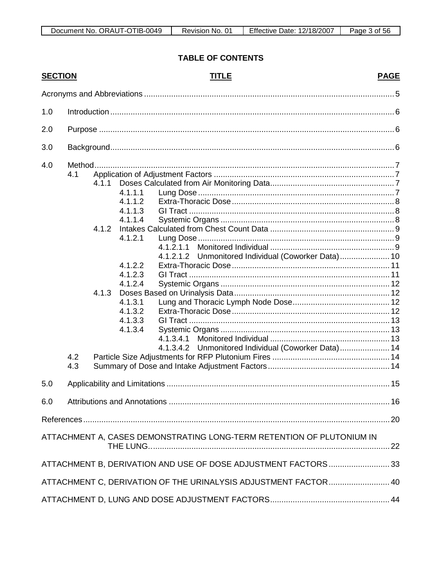# **TABLE OF CONTENTS**

| <b>SECTION</b> |            |                         |                                                                                                                                  | <b>TITLE</b>                                                          | <b>PAGE</b> |
|----------------|------------|-------------------------|----------------------------------------------------------------------------------------------------------------------------------|-----------------------------------------------------------------------|-------------|
|                |            |                         |                                                                                                                                  |                                                                       |             |
| 1.0            |            |                         |                                                                                                                                  |                                                                       |             |
| 2.0            |            |                         |                                                                                                                                  |                                                                       |             |
| 3.0            |            |                         |                                                                                                                                  |                                                                       |             |
| 4.0            |            |                         |                                                                                                                                  |                                                                       |             |
|                | 4.1        | 4.1.1<br>4.1.2<br>4.1.3 | 4.1.1.1<br>4.1.1.2<br>4.1.1.3<br>4.1.1.4<br>4.1.2.1<br>4.1.2.2<br>4.1.2.3<br>4.1.2.4<br>4.1.3.1<br>4.1.3.2<br>4.1.3.3<br>4.1.3.4 | 4.1.2.1.1<br>4.1.2.1.2 Unmonitored Individual (Coworker Data) 10      |             |
|                | 4.2<br>4.3 |                         |                                                                                                                                  | Unmonitored Individual (Coworker Data) 14<br>4.1.3.4.2                |             |
| 5.0            |            |                         |                                                                                                                                  |                                                                       |             |
| 6.0            |            |                         |                                                                                                                                  |                                                                       |             |
|                |            |                         |                                                                                                                                  |                                                                       |             |
|                |            |                         |                                                                                                                                  | ATTACHMENT A, CASES DEMONSTRATING LONG-TERM RETENTION OF PLUTONIUM IN |             |
|                |            |                         |                                                                                                                                  | ATTACHMENT B, DERIVATION AND USE OF DOSE ADJUSTMENT FACTORS  33       |             |
|                |            |                         |                                                                                                                                  | ATTACHMENT C, DERIVATION OF THE URINALYSIS ADJUSTMENT FACTOR  40      |             |
|                |            |                         |                                                                                                                                  |                                                                       |             |
|                |            |                         |                                                                                                                                  |                                                                       |             |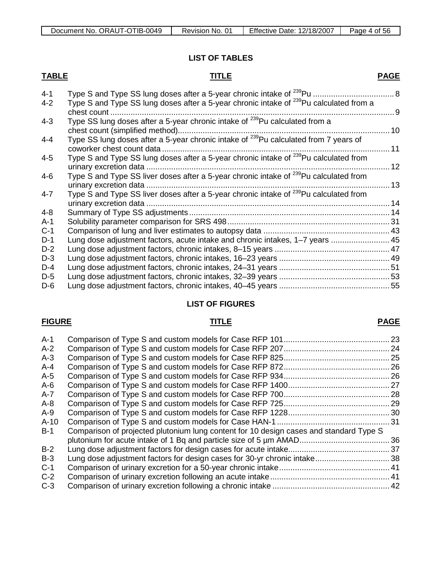#### **LIST OF TABLES**

#### **TABLE TITLE**

| $4 - 1$ |                                                                                                    |  |
|---------|----------------------------------------------------------------------------------------------------|--|
| 4-2     | Type S and Type SS lung doses after a 5-year chronic intake of <sup>239</sup> Pu calculated from a |  |
|         |                                                                                                    |  |

| chest count                                                                                       |                                                                                                                                                                                                      |
|---------------------------------------------------------------------------------------------------|------------------------------------------------------------------------------------------------------------------------------------------------------------------------------------------------------|
| Type SS lung doses after a 5-year chronic intake of <sup>239</sup> Pu calculated from a           |                                                                                                                                                                                                      |
|                                                                                                   |                                                                                                                                                                                                      |
|                                                                                                   | 11                                                                                                                                                                                                   |
|                                                                                                   |                                                                                                                                                                                                      |
|                                                                                                   | 12                                                                                                                                                                                                   |
| Type S and Type SS liver doses after a 5-year chronic intake of <sup>239</sup> Pu calculated from |                                                                                                                                                                                                      |
|                                                                                                   |                                                                                                                                                                                                      |
| Type S and Type SS liver doses after a 5-year chronic intake of <sup>239</sup> Pu calculated from |                                                                                                                                                                                                      |
|                                                                                                   |                                                                                                                                                                                                      |
|                                                                                                   |                                                                                                                                                                                                      |
|                                                                                                   |                                                                                                                                                                                                      |
|                                                                                                   |                                                                                                                                                                                                      |
| Lung dose adjustment factors, acute intake and chronic intakes, 1–7 years  45                     |                                                                                                                                                                                                      |
|                                                                                                   |                                                                                                                                                                                                      |
|                                                                                                   |                                                                                                                                                                                                      |
|                                                                                                   |                                                                                                                                                                                                      |
|                                                                                                   |                                                                                                                                                                                                      |
|                                                                                                   | Type SS lung doses after a 5-year chronic intake of <sup>239</sup> Pu calculated from 7 years of<br>Type S and Type SS lung doses after a 5-year chronic intake of <sup>239</sup> Pu calculated from |

## **LIST OF FIGURES**

D-6 Lung dose adjustment factors, chronic intakes, 40–45 years ................................................. 55

#### **FIGURE TITLE**

#### A-1 Comparison of Type S and custom models for Case RFP 101............................................... 23 A-2 Comparison of Type S and custom models for Case RFP 207............................................... 24 A-3 Comparison of Type S and custom models for Case RFP 825............................................... 25 A-4 Comparison of Type S and custom models for Case RFP 872............................................... 26 A-5 Comparison of Type S and custom models for Case RFP 934............................................... 26 A-6 Comparison of Type S and custom models for Case RFP 1400............................................. 27 A-7 Comparison of Type S and custom models for Case RFP 700............................................... 28 A-8 Comparison of Type S and custom models for Case RFP 725............................................... 29 A-9 Comparison of Type S and custom models for Case RFP 1228............................................. 30 A-10 Comparison of Type S and custom models for Case HAN-1 .................................................. 31 B-1 Comparison of projected plutonium lung content for 10 design cases and standard Type S plutonium for acute intake of 1 Bq and particle size of 5 µm AMAD........................................ 36 B-2 Lung dose adjustment factors for design cases for acute intake............................................. 37 B-3 Lung dose adjustment factors for design cases for 30-yr chronic intake................................. 38 C-1 Comparison of urinary excretion for a 50-year chronic intake................................................. 41 C-2 Comparison of urinary excretion following an acute intake..................................................... 41 C-3 Comparison of urinary excretion following a chronic intake .................................................... 42

#### **PAGE**

## **PAGE**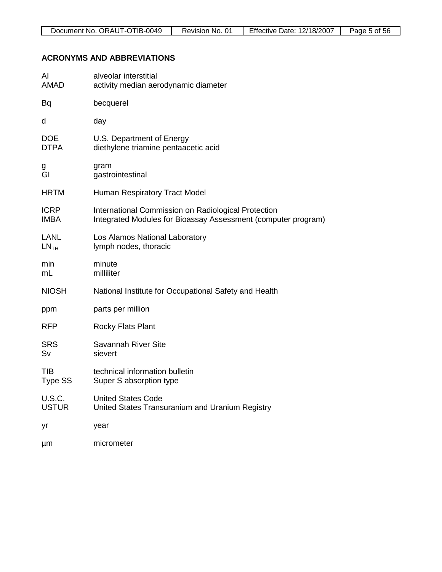# **ACRONYMS AND ABBREVIATIONS**

| Al<br><b>AMAD</b>               | alveolar interstitial<br>activity median aerodynamic diameter                                                        |
|---------------------------------|----------------------------------------------------------------------------------------------------------------------|
| Bq                              | becquerel                                                                                                            |
| d                               | day                                                                                                                  |
| <b>DOE</b><br><b>DTPA</b>       | U.S. Department of Energy<br>diethylene triamine pentaacetic acid                                                    |
| g<br>Gl                         | gram<br>gastrointestinal                                                                                             |
| <b>HRTM</b>                     | <b>Human Respiratory Tract Model</b>                                                                                 |
| <b>ICRP</b><br><b>IMBA</b>      | International Commission on Radiological Protection<br>Integrated Modules for Bioassay Assessment (computer program) |
| <b>LANL</b><br>LN <sub>TH</sub> | Los Alamos National Laboratory<br>lymph nodes, thoracic                                                              |
| min<br>mL                       | minute<br>milliliter                                                                                                 |
| <b>NIOSH</b>                    | National Institute for Occupational Safety and Health                                                                |
| ppm                             | parts per million                                                                                                    |
| <b>RFP</b>                      | <b>Rocky Flats Plant</b>                                                                                             |
| <b>SRS</b><br>Sv                | Savannah River Site<br>sievert                                                                                       |
| TIB<br><b>Type SS</b>           | technical information bulletin<br>Super S absorption type                                                            |
| <b>U.S.C.</b><br><b>USTUR</b>   | <b>United States Code</b><br>United States Transuranium and Uranium Registry                                         |
| yr                              | year                                                                                                                 |
| μm                              | micrometer                                                                                                           |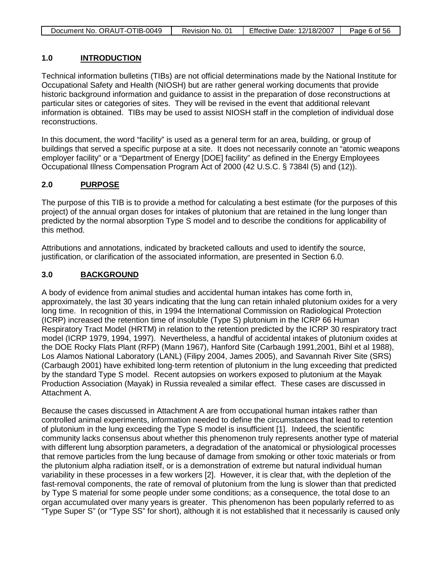| Document No. ORAUT-OTIB-0049 | Revision No. 01 | <b>Effective Date: 12/18/2007</b> | Page 6 of 56 |
|------------------------------|-----------------|-----------------------------------|--------------|

#### **1.0 INTRODUCTION**

Technical information bulletins (TIBs) are not official determinations made by the National Institute for Occupational Safety and Health (NIOSH) but are rather general working documents that provide historic background information and guidance to assist in the preparation of dose reconstructions at particular sites or categories of sites. They will be revised in the event that additional relevant information is obtained. TIBs may be used to assist NIOSH staff in the completion of individual dose reconstructions.

In this document, the word "facility" is used as a general term for an area, building, or group of buildings that served a specific purpose at a site. It does not necessarily connote an "atomic weapons employer facility" or a "Department of Energy [DOE] facility" as defined in the Energy Employees Occupational Illness Compensation Program Act of 2000 (42 U.S.C. § 7384l (5) and (12)).

#### **2.0 PURPOSE**

The purpose of this TIB is to provide a method for calculating a best estimate (for the purposes of this project) of the annual organ doses for intakes of plutonium that are retained in the lung longer than predicted by the normal absorption Type S model and to describe the conditions for applicability of this method.

Attributions and annotations, indicated by bracketed callouts and used to identify the source, justification, or clarification of the associated information, are presented in Section 6.0.

#### **3.0 BACKGROUND**

A body of evidence from animal studies and accidental human intakes has come forth in, approximately, the last 30 years indicating that the lung can retain inhaled plutonium oxides for a very long time. In recognition of this, in 1994 the International Commission on Radiological Protection (ICRP) increased the retention time of insoluble (Type S) plutonium in the ICRP 66 Human Respiratory Tract Model (HRTM) in relation to the retention predicted by the ICRP 30 respiratory tract model (ICRP 1979, 1994, 1997). Nevertheless, a handful of accidental intakes of plutonium oxides at the DOE Rocky Flats Plant (RFP) (Mann 1967), Hanford Site (Carbaugh 1991,2001, Bihl et al 1988), Los Alamos National Laboratory (LANL) (Filipy 2004, James 2005), and Savannah River Site (SRS) (Carbaugh 2001) have exhibited long-term retention of plutonium in the lung exceeding that predicted by the standard Type S model. Recent autopsies on workers exposed to plutonium at the Mayak Production Association (Mayak) in Russia revealed a similar effect. These cases are discussed in Attachment A.

Because the cases discussed in Attachment A are from occupational human intakes rather than controlled animal experiments, information needed to define the circumstances that lead to retention of plutonium in the lung exceeding the Type S model is insufficient [1]. Indeed, the scientific community lacks consensus about whether this phenomenon truly represents another type of material with different lung absorption parameters, a degradation of the anatomical or physiological processes that remove particles from the lung because of damage from smoking or other toxic materials or from the plutonium alpha radiation itself, or is a demonstration of extreme but natural individual human variability in these processes in a few workers [2]. However, it is clear that, with the depletion of the fast-removal components, the rate of removal of plutonium from the lung is slower than that predicted by Type S material for some people under some conditions; as a consequence, the total dose to an organ accumulated over many years is greater. This phenomenon has been popularly referred to as "Type Super S" (or "Type SS" for short), although it is not established that it necessarily is caused only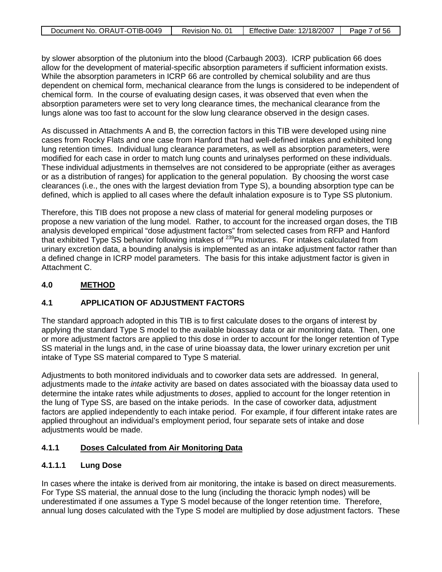| Document No. ORAUT-OTIB-0049 | Revision No. 01 | Effective Date: 12/18/2007 | Page 7 of $56$ |
|------------------------------|-----------------|----------------------------|----------------|
|                              |                 |                            |                |

by slower absorption of the plutonium into the blood (Carbaugh 2003). ICRP publication 66 does allow for the development of material-specific absorption parameters if sufficient information exists. While the absorption parameters in ICRP 66 are controlled by chemical solubility and are thus dependent on chemical form, mechanical clearance from the lungs is considered to be independent of chemical form. In the course of evaluating design cases, it was observed that even when the absorption parameters were set to very long clearance times, the mechanical clearance from the lungs alone was too fast to account for the slow lung clearance observed in the design cases.

As discussed in Attachments A and B, the correction factors in this TIB were developed using nine cases from Rocky Flats and one case from Hanford that had well-defined intakes and exhibited long lung retention times. Individual lung clearance parameters, as well as absorption parameters, were modified for each case in order to match lung counts and urinalyses performed on these individuals. These individual adjustments in themselves are not considered to be appropriate (either as averages or as a distribution of ranges) for application to the general population. By choosing the worst case clearances (i.e., the ones with the largest deviation from Type S), a bounding absorption type can be defined, which is applied to all cases where the default inhalation exposure is to Type SS plutonium.

Therefore, this TIB does not propose a new class of material for general modeling purposes or propose a new variation of the lung model. Rather, to account for the increased organ doses, the TIB analysis developed empirical "dose adjustment factors" from selected cases from RFP and Hanford that exhibited Type SS behavior following intakes of <sup>239</sup>Pu mixtures. For intakes calculated from urinary excretion data, a bounding analysis is implemented as an intake adjustment factor rather than a defined change in ICRP model parameters. The basis for this intake adjustment factor is given in Attachment C.

#### **4.0 METHOD**

## **4.1 APPLICATION OF ADJUSTMENT FACTORS**

The standard approach adopted in this TIB is to first calculate doses to the organs of interest by applying the standard Type S model to the available bioassay data or air monitoring data. Then, one or more adjustment factors are applied to this dose in order to account for the longer retention of Type SS material in the lungs and, in the case of urine bioassay data, the lower urinary excretion per unit intake of Type SS material compared to Type S material.

Adjustments to both monitored individuals and to coworker data sets are addressed. In general, adjustments made to the *intake* activity are based on dates associated with the bioassay data used to determine the intake rates while adjustments to *doses*, applied to account for the longer retention in the lung of Type SS, are based on the intake periods. In the case of coworker data, adjustment factors are applied independently to each intake period. For example, if four different intake rates are applied throughout an individual's employment period, four separate sets of intake and dose adjustments would be made.

#### **4.1.1 Doses Calculated from Air Monitoring Data**

## **4.1.1.1 Lung Dose**

In cases where the intake is derived from air monitoring, the intake is based on direct measurements. For Type SS material, the annual dose to the lung (including the thoracic lymph nodes) will be underestimated if one assumes a Type S model because of the longer retention time. Therefore, annual lung doses calculated with the Type S model are multiplied by dose adjustment factors. These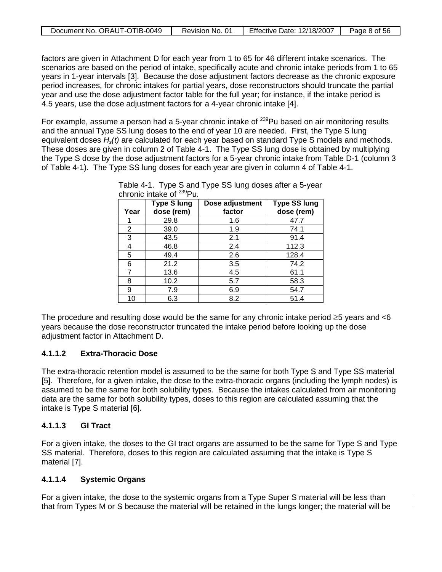| Document No. ORAUT-OTIB-0049 | Revision No. 01 | <b>Effective Date: 12/18/2007</b> | Page 8 of 56 |
|------------------------------|-----------------|-----------------------------------|--------------|
|                              |                 |                                   |              |

factors are given in Attachment D for each year from 1 to 65 for 46 different intake scenarios. The scenarios are based on the period of intake, specifically acute and chronic intake periods from 1 to 65 years in 1-year intervals [3]. Because the dose adjustment factors decrease as the chronic exposure period increases, for chronic intakes for partial years, dose reconstructors should truncate the partial year and use the dose adjustment factor table for the full year; for instance, if the intake period is 4.5 years, use the dose adjustment factors for a 4-year chronic intake [4].

For example, assume a person had a 5-year chronic intake of <sup>239</sup>Pu based on air monitoring results and the annual Type SS lung doses to the end of year 10 are needed. First, the Type S lung equivalent doses *Hs(t)* are calculated for each year based on standard Type S models and methods. These doses are given in column 2 of Table 4-1. The Type SS lung dose is obtained by multiplying the Type S dose by the dose adjustment factors for a 5-year chronic intake from Table D-1 (column 3 of Table 4-1). The Type SS lung doses for each year are given in column 4 of Table 4-1.

| Year | <b>Type S lung</b><br>dose (rem) | Dose adjustment<br>factor | <b>Type SS lung</b><br>dose (rem) |
|------|----------------------------------|---------------------------|-----------------------------------|
|      | 29.8                             | 1.6                       | 47.7                              |
| 2    | 39.0                             | 1.9                       | 74.1                              |
| 3    | 43.5                             | 2.1                       | 91.4                              |
| 4    | 46.8                             | 2.4                       | 112.3                             |
| 5    | 49.4                             | 2.6                       | 128.4                             |
| 6    | 21.2                             | 3.5                       | 74.2                              |
| 7    | 13.6                             | 4.5                       | 61.1                              |
| 8    | 10.2                             | 5.7                       | 58.3                              |
| 9    | 7.9                              | 6.9                       | 54.7                              |
| 10   | 6.3                              | 8.2                       | 51.4                              |

Table 4-1. Type S and Type SS lung doses after a 5-year chronic intake of  $^{239}$ Pu.

The procedure and resulting dose would be the same for any chronic intake period ≥5 years and <6 years because the dose reconstructor truncated the intake period before looking up the dose adiustment factor in Attachment D.

## **4.1.1.2 Extra-Thoracic Dose**

The extra-thoracic retention model is assumed to be the same for both Type S and Type SS material [5]. Therefore, for a given intake, the dose to the extra-thoracic organs (including the lymph nodes) is assumed to be the same for both solubility types. Because the intakes calculated from air monitoring data are the same for both solubility types, doses to this region are calculated assuming that the intake is Type S material [6].

#### **4.1.1.3 GI Tract**

For a given intake, the doses to the GI tract organs are assumed to be the same for Type S and Type SS material. Therefore, doses to this region are calculated assuming that the intake is Type S material [7].

## **4.1.1.4 Systemic Organs**

For a given intake, the dose to the systemic organs from a Type Super S material will be less than that from Types M or S because the material will be retained in the lungs longer; the material will be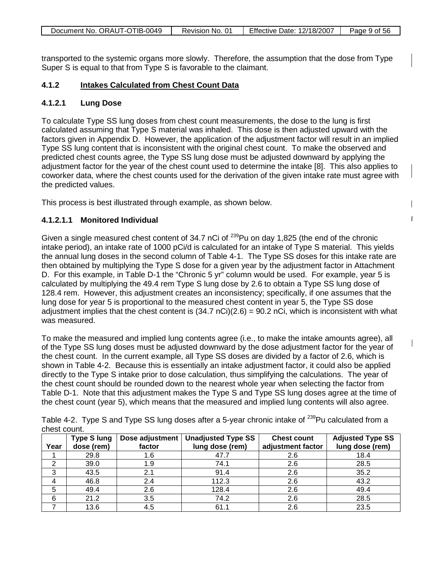| Document No. ORAUT-OTIB-0049 | Revision No. 01 | <b>Effective Date: 12/18/2007</b> | Page 9 of 56 |
|------------------------------|-----------------|-----------------------------------|--------------|

transported to the systemic organs more slowly. Therefore, the assumption that the dose from Type Super S is equal to that from Type S is favorable to the claimant.

#### **4.1.2 Intakes Calculated from Chest Count Data**

#### **4.1.2.1 Lung Dose**

To calculate Type SS lung doses from chest count measurements, the dose to the lung is first calculated assuming that Type S material was inhaled. This dose is then adjusted upward with the factors given in Appendix D. However, the application of the adjustment factor will result in an implied Type SS lung content that is inconsistent with the original chest count. To make the observed and predicted chest counts agree, the Type SS lung dose must be adjusted downward by applying the adjustment factor for the year of the chest count used to determine the intake [8]. This also applies to coworker data, where the chest counts used for the derivation of the given intake rate must agree with the predicted values.

 $\overline{1}$ 

This process is best illustrated through example, as shown below.

## **4.1.2.1.1 Monitored Individual**

Given a single measured chest content of 34.7 nCi of  $^{239}$ Pu on day 1,825 (the end of the chronic intake period), an intake rate of 1000 pCi/d is calculated for an intake of Type S material. This yields the annual lung doses in the second column of Table 4-1. The Type SS doses for this intake rate are then obtained by multiplying the Type S dose for a given year by the adjustment factor in Attachment D. For this example, in Table D-1 the "Chronic 5 yr" column would be used. For example, year 5 is calculated by multiplying the 49.4 rem Type S lung dose by 2.6 to obtain a Type SS lung dose of 128.4 rem. However, this adjustment creates an inconsistency; specifically, if one assumes that the lung dose for year 5 is proportional to the measured chest content in year 5, the Type SS dose adjustment implies that the chest content is  $(34.7 \text{ nCi})(2.6) = 90.2 \text{ nCi}$ , which is inconsistent with what was measured.

To make the measured and implied lung contents agree (i.e., to make the intake amounts agree), all of the Type SS lung doses must be adjusted downward by the dose adjustment factor for the year of the chest count. In the current example, all Type SS doses are divided by a factor of 2.6, which is shown in Table 4-2. Because this is essentially an intake adjustment factor, it could also be applied directly to the Type S intake prior to dose calculation, thus simplifying the calculations. The year of the chest count should be rounded down to the nearest whole year when selecting the factor from Table D-1. Note that this adjustment makes the Type S and Type SS lung doses agree at the time of the chest count (year 5), which means that the measured and implied lung contents will also agree.

| unuat uuunti |                                  |                           |                                              |                                         |                                            |
|--------------|----------------------------------|---------------------------|----------------------------------------------|-----------------------------------------|--------------------------------------------|
| Year         | <b>Type S lung</b><br>dose (rem) | Dose adjustment<br>factor | <b>Unadjusted Type SS</b><br>lung dose (rem) | <b>Chest count</b><br>adjustment factor | <b>Adjusted Type SS</b><br>lung dose (rem) |
|              | 29.8                             | 1.6                       | 47.7                                         | 2.6                                     | 18.4                                       |
| ◠            | 39.0                             | 1.9                       | 74.1                                         | 2.6                                     | 28.5                                       |
| 3            | 43.5                             | 2.1                       | 91.4                                         | 2.6                                     | 35.2                                       |
| 4            | 46.8                             | 2.4                       | 112.3                                        | 2.6                                     | 43.2                                       |
| 5            | 49.4                             | 2.6                       | 128.4                                        | 2.6                                     | 49.4                                       |
| 6            | 21.2                             | 3.5                       | 74.2                                         | 2.6                                     | 28.5                                       |
|              | 13.6                             | 4.5                       | 61.1                                         | 2.6                                     | 23.5                                       |

Table 4-2. Type S and Type SS lung doses after a 5-year chronic intake of <sup>239</sup>Pu calculated from a chest count.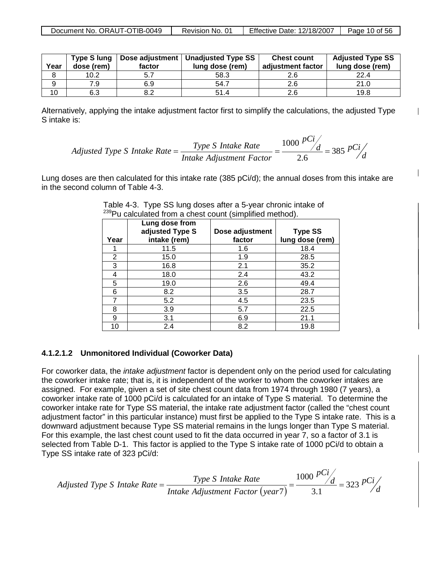| Year | <b>Type S lung</b><br>dose (rem) | factor | Dose adjustment   Unadjusted Type SS  <br>lung dose (rem) | <b>Chest count</b><br>adjustment factor | <b>Adjusted Type SS</b><br>lung dose (rem) |
|------|----------------------------------|--------|-----------------------------------------------------------|-----------------------------------------|--------------------------------------------|
|      | 10.2                             | 5.7    | 58.3                                                      |                                         | 22.4                                       |
| 9    | 7.9                              | 6.9    | 54.7                                                      | 2.6                                     | 21.0                                       |
| 10   | 6.3                              |        | 51.4                                                      | 2.6                                     | 19.8                                       |

Alternatively, applying the intake adjustment factor first to simplify the calculations, the adjusted Type S intake is:

Adjusted Type S Intake Rate

\n
$$
= \frac{Type S Intake Rate}{Intake Adjustment Factor} = \frac{1000}{2.6} \frac{pCi}{d} = 385 \frac{pCi}{d}
$$

Lung doses are then calculated for this intake rate (385 pCi/d); the annual doses from this intake are in the second column of Table 4-3.

| Year           | Lung dose from<br>adjusted Type S<br>intake (rem) | Dose adjustment<br>factor | <b>Type SS</b><br>lung dose (rem) |
|----------------|---------------------------------------------------|---------------------------|-----------------------------------|
|                | 11.5                                              | 1.6                       | 18.4                              |
| $\overline{2}$ | 15.0                                              | 1.9                       | 28.5                              |
| 3              | 16.8                                              | 2.1                       | 35.2                              |
| 4              | 18.0                                              | 2.4                       | 43.2                              |
| 5              | 19.0                                              | 2.6                       | 49.4                              |
| 6              | 8.2                                               | 3.5                       | 28.7                              |
|                | 5.2                                               | 4.5                       | 23.5                              |
| 8              | 3.9                                               | 5.7                       | 22.5                              |
| 9              | 3.1                                               | 6.9                       | 21.1                              |
| 10             | 2.4                                               | 8.2                       | 19.8                              |

Table 4-3. Type SS lung doses after a 5-year chronic intake of <sup>239</sup>Pu calculated from a chest count (simplified method).

## **4.1.2.1.2 Unmonitored Individual (Coworker Data)**

For coworker data, the *intake adjustment* factor is dependent only on the period used for calculating the coworker intake rate; that is, it is independent of the worker to whom the coworker intakes are assigned. For example, given a set of site chest count data from 1974 through 1980 (7 years), a coworker intake rate of 1000 pCi/d is calculated for an intake of Type S material. To determine the coworker intake rate for Type SS material, the intake rate adjustment factor (called the "chest count adjustment factor" in this particular instance) must first be applied to the Type S intake rate. This is a downward adjustment because Type SS material remains in the lungs longer than Type S material. For this example, the last chest count used to fit the data occurred in year 7, so a factor of 3.1 is selected from Table D-1. This factor is applied to the Type S intake rate of 1000 pCi/d to obtain a Type SS intake rate of 323 pCi/d:

 $\overline{(year7)} - \frac{3.1}{3.1} - \frac{5.25}{d}$  $\frac{d}{dx}$  – 323 pCi *pCi Intake Adjustment Factor year Adjusted Type S Intake Rate*  $=$  *Type S Intake Rate*  $=$   $\frac{1000 \text{ A} \cdot \sqrt{d}}{24} = 323$ 1.3 1000  $=\frac{Type B}}{Intake \ Adjus tment \ Factor (\year 7)} = \frac{7a}{3.1}$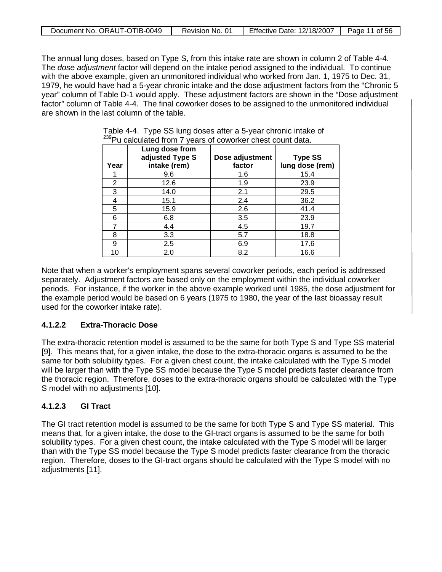| Document No. ORAUT-OTIB-0049 | Revision No. 01 | <b>Effective Date: 12/18/2007</b> | Page 11 of 56 |
|------------------------------|-----------------|-----------------------------------|---------------|
|                              |                 |                                   |               |

The annual lung doses, based on Type S, from this intake rate are shown in column 2 of Table 4-4. The *dose adjustment* factor will depend on the intake period assigned to the individual. To continue with the above example, given an unmonitored individual who worked from Jan. 1, 1975 to Dec. 31, 1979, he would have had a 5-year chronic intake and the dose adjustment factors from the "Chronic 5 year" column of Table D-1 would apply. These adjustment factors are shown in the "Dose adjustment factor" column of Table 4-4. The final coworker doses to be assigned to the unmonitored individual are shown in the last column of the table.

| Year | Lung dose from<br>adjusted Type S<br>intake (rem) | Dose adjustment<br>factor | <b>Type SS</b><br>lung dose (rem) |
|------|---------------------------------------------------|---------------------------|-----------------------------------|
|      | 9.6                                               | 1.6                       | 15.4                              |
| 2    | 12.6                                              | 1.9                       | 23.9                              |
| 3    | 14.0                                              | 2.1                       | 29.5                              |
| 4    | 15.1                                              | 2.4                       | 36.2                              |
| 5    | 15.9                                              | 2.6                       | 41.4                              |
| 6    | 6.8                                               | 3.5                       | 23.9                              |
|      | 4.4                                               | 4.5                       | 19.7                              |
| 8    | 3.3                                               | 5.7                       | 18.8                              |
| 9    | 2.5                                               | 6.9                       | 17.6                              |
| 10   | 2.0                                               | 8.2                       | 16.6                              |

|  |  | Table 4-4. Type SS lung doses after a 5-year chronic intake of          |
|--|--|-------------------------------------------------------------------------|
|  |  | <sup>239</sup> Pu calculated from 7 years of coworker chest count data. |

Note that when a worker's employment spans several coworker periods, each period is addressed separately. Adjustment factors are based only on the employment within the individual coworker periods. For instance, if the worker in the above example worked until 1985, the dose adjustment for the example period would be based on 6 years (1975 to 1980, the year of the last bioassay result used for the coworker intake rate).

## **4.1.2.2 Extra-Thoracic Dose**

The extra-thoracic retention model is assumed to be the same for both Type S and Type SS material [9]. This means that, for a given intake, the dose to the extra-thoracic organs is assumed to be the same for both solubility types. For a given chest count, the intake calculated with the Type S model will be larger than with the Type SS model because the Type S model predicts faster clearance from the thoracic region. Therefore, doses to the extra-thoracic organs should be calculated with the Type S model with no adjustments [10].

## **4.1.2.3 GI Tract**

The GI tract retention model is assumed to be the same for both Type S and Type SS material. This means that, for a given intake, the dose to the GI-tract organs is assumed to be the same for both solubility types. For a given chest count, the intake calculated with the Type S model will be larger than with the Type SS model because the Type S model predicts faster clearance from the thoracic region. Therefore, doses to the GI-tract organs should be calculated with the Type S model with no adjustments [11].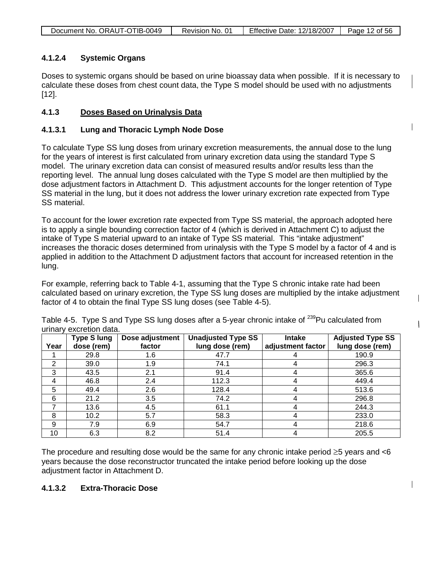|  | Document No. ORAUT-OTIB-0049 | Revision No. 01 | <b>Effective Date: 12/18/2007</b> | Page 12 of 56 |
|--|------------------------------|-----------------|-----------------------------------|---------------|
|--|------------------------------|-----------------|-----------------------------------|---------------|

## **4.1.2.4 Systemic Organs**

Doses to systemic organs should be based on urine bioassay data when possible. If it is necessary to calculate these doses from chest count data, the Type S model should be used with no adjustments [12].

#### **4.1.3 Doses Based on Urinalysis Data**

#### **4.1.3.1 Lung and Thoracic Lymph Node Dose**

To calculate Type SS lung doses from urinary excretion measurements, the annual dose to the lung for the years of interest is first calculated from urinary excretion data using the standard Type S model. The urinary excretion data can consist of measured results and/or results less than the reporting level. The annual lung doses calculated with the Type S model are then multiplied by the dose adjustment factors in Attachment D. This adjustment accounts for the longer retention of Type SS material in the lung, but it does not address the lower urinary excretion rate expected from Type SS material.

To account for the lower excretion rate expected from Type SS material, the approach adopted here is to apply a single bounding correction factor of 4 (which is derived in Attachment C) to adjust the intake of Type S material upward to an intake of Type SS material. This "intake adjustment" increases the thoracic doses determined from urinalysis with the Type S model by a factor of 4 and is applied in addition to the Attachment D adjustment factors that account for increased retention in the lung.

For example, referring back to Table 4-1, assuming that the Type S chronic intake rate had been calculated based on urinary excretion, the Type SS lung doses are multiplied by the intake adjustment factor of 4 to obtain the final Type SS lung doses (see Table 4-5).

|      | <b>Type S lung</b> | Dose adjustment | <b>Unadjusted Type SS</b> | Intake            | <b>Adjusted Type SS</b> |
|------|--------------------|-----------------|---------------------------|-------------------|-------------------------|
| Year | dose (rem)         | factor          | lung dose (rem)           | adjustment factor | lung dose (rem)         |
|      | 29.8               | 1.6             | 47.7                      |                   | 190.9                   |
| 2    | 39.0               | 1.9             | 74.1                      |                   | 296.3                   |
| 3    | 43.5               | 2.1             | 91.4                      |                   | 365.6                   |
| 4    | 46.8               | 2.4             | 112.3                     |                   | 449.4                   |
| 5    | 49.4               | 2.6             | 128.4                     |                   | 513.6                   |
| 6    | 21.2               | 3.5             | 74.2                      |                   | 296.8                   |
|      | 13.6               | 4.5             | 61.1                      |                   | 244.3                   |
| 8    | 10.2               | 5.7             | 58.3                      |                   | 233.0                   |
| 9    | 7.9                | 6.9             | 54.7                      |                   | 218.6                   |
| 10   | 6.3                | 8.2             | 51.4                      |                   | 205.5                   |

Table 4-5. Type S and Type SS lung doses after a 5-year chronic intake of <sup>239</sup>Pu calculated from urinary excretion data.

The procedure and resulting dose would be the same for any chronic intake period  $\geq$ 5 years and <6 years because the dose reconstructor truncated the intake period before looking up the dose adjustment factor in Attachment D.

#### **4.1.3.2 Extra-Thoracic Dose**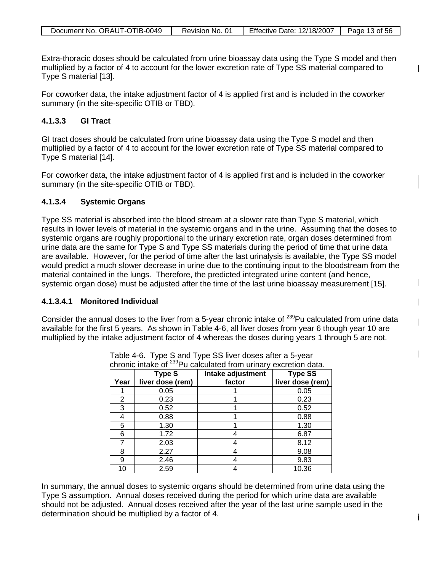|  | Document No. ORAUT-OTIB-0049 | Revision No. 01 | <b>Effective Date: 12/18/2007</b> | Page 13 of 56 |
|--|------------------------------|-----------------|-----------------------------------|---------------|
|--|------------------------------|-----------------|-----------------------------------|---------------|

Extra-thoracic doses should be calculated from urine bioassay data using the Type S model and then multiplied by a factor of 4 to account for the lower excretion rate of Type SS material compared to Type S material [13].

For coworker data, the intake adjustment factor of 4 is applied first and is included in the coworker summary (in the site-specific OTIB or TBD).

#### **4.1.3.3 GI Tract**

GI tract doses should be calculated from urine bioassay data using the Type S model and then multiplied by a factor of 4 to account for the lower excretion rate of Type SS material compared to Type S material [14].

For coworker data, the intake adjustment factor of 4 is applied first and is included in the coworker summary (in the site-specific OTIB or TBD).

#### **4.1.3.4 Systemic Organs**

Type SS material is absorbed into the blood stream at a slower rate than Type S material, which results in lower levels of material in the systemic organs and in the urine. Assuming that the doses to systemic organs are roughly proportional to the urinary excretion rate, organ doses determined from urine data are the same for Type S and Type SS materials during the period of time that urine data are available. However, for the period of time after the last urinalysis is available, the Type SS model would predict a much slower decrease in urine due to the continuing input to the bloodstream from the material contained in the lungs. Therefore, the predicted integrated urine content (and hence, systemic organ dose) must be adjusted after the time of the last urine bioassay measurement [15].

#### **4.1.3.4.1 Monitored Individual**

Consider the annual doses to the liver from a 5-year chronic intake of <sup>239</sup>Pu calculated from urine data available for the first 5 years. As shown in Table 4-6, all liver doses from year 6 though year 10 are multiplied by the intake adjustment factor of 4 whereas the doses during years 1 through 5 are not.

|      |                  | chronic intake of <sup>239</sup> Pu calculated from urinary excretion data. |                  |
|------|------------------|-----------------------------------------------------------------------------|------------------|
|      | Type S           | Intake adjustment                                                           | <b>Type SS</b>   |
| Year | liver dose (rem) | factor                                                                      | liver dose (rem) |
|      | 0.05             |                                                                             | 0.05             |
| 2    | 0.23             |                                                                             | 0.23             |
| 3    | 0.52             |                                                                             | 0.52             |
| 4    | 0.88             |                                                                             | 0.88             |
| 5    | 1.30             |                                                                             | 1.30             |
| 6    | 1.72             |                                                                             | 6.87             |
|      | 2.03             |                                                                             | 8.12             |
| 8    | 2.27             |                                                                             | 9.08             |
| 9    | 2.46             |                                                                             | 9.83             |
| 10   | 2.59             |                                                                             | 10.36            |

Table 4-6. Type S and Type SS liver doses after a 5-year

In summary, the annual doses to systemic organs should be determined from urine data using the Type S assumption. Annual doses received during the period for which urine data are available should not be adjusted. Annual doses received after the year of the last urine sample used in the determination should be multiplied by a factor of 4.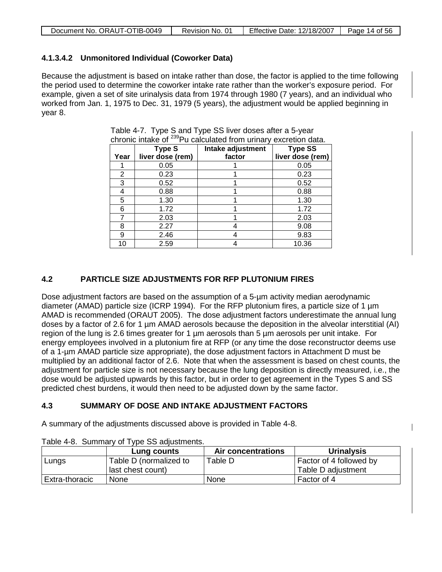|  | Document No. ORAUT-OTIB-0049 | Revision No. 01 | <b>Effective Date: 12/18/2007</b> | Page 14 of 56 |
|--|------------------------------|-----------------|-----------------------------------|---------------|
|--|------------------------------|-----------------|-----------------------------------|---------------|

## **4.1.3.4.2 Unmonitored Individual (Coworker Data)**

Because the adjustment is based on intake rather than dose, the factor is applied to the time following the period used to determine the coworker intake rate rather than the worker's exposure period. For example, given a set of site urinalysis data from 1974 through 1980 (7 years), and an individual who worked from Jan. 1, 1975 to Dec. 31, 1979 (5 years), the adjustment would be applied beginning in year 8.

| Year | <b>Type S</b><br>liver dose (rem) | Intake adjustment<br>factor | <b>Type SS</b><br>liver dose (rem) |
|------|-----------------------------------|-----------------------------|------------------------------------|
|      | 0.05                              |                             | 0.05                               |
| 2    | 0.23                              |                             | 0.23                               |
| 3    | 0.52                              |                             | 0.52                               |
| 4    | 0.88                              |                             | 0.88                               |
| 5    | 1.30                              |                             | 1.30                               |
| 6    | 1.72                              |                             | 1.72                               |
|      | 2.03                              |                             | 2.03                               |
| 8    | 2.27                              |                             | 9.08                               |
| 9    | 2.46                              |                             | 9.83                               |
| 10   | 2.59                              |                             | 10.36                              |

Table 4-7. Type S and Type SS liver doses after a 5-year chronic intake of 239Pu calculated from urinary excretion data.

## **4.2 PARTICLE SIZE ADJUSTMENTS FOR RFP PLUTONIUM FIRES**

Dose adjustment factors are based on the assumption of a 5-µm activity median aerodynamic diameter (AMAD) particle size (ICRP 1994). For the RFP plutonium fires, a particle size of 1 µm AMAD is recommended (ORAUT 2005). The dose adjustment factors underestimate the annual lung doses by a factor of 2.6 for 1 µm AMAD aerosols because the deposition in the alveolar interstitial (AI) region of the lung is 2.6 times greater for 1 µm aerosols than 5 µm aerosols per unit intake. For energy employees involved in a plutonium fire at RFP (or any time the dose reconstructor deems use of a 1-µm AMAD particle size appropriate), the dose adjustment factors in Attachment D must be multiplied by an additional factor of 2.6. Note that when the assessment is based on chest counts, the adjustment for particle size is not necessary because the lung deposition is directly measured, i.e., the dose would be adjusted upwards by this factor, but in order to get agreement in the Types S and SS predicted chest burdens, it would then need to be adjusted down by the same factor.

## **4.3 SUMMARY OF DOSE AND INTAKE ADJUSTMENT FACTORS**

A summary of the adjustments discussed above is provided in Table 4-8.

|                | Lung counts            | Air concentrations | <b>Urinalysis</b>       |
|----------------|------------------------|--------------------|-------------------------|
| Lungs          | Table D (normalized to | Table D            | Factor of 4 followed by |
|                | last chest count)      |                    | Table D adjustment      |
| Extra-thoracic | None                   | None               | Factor of 4             |

Table 4-8. Summary of Type SS adjustments.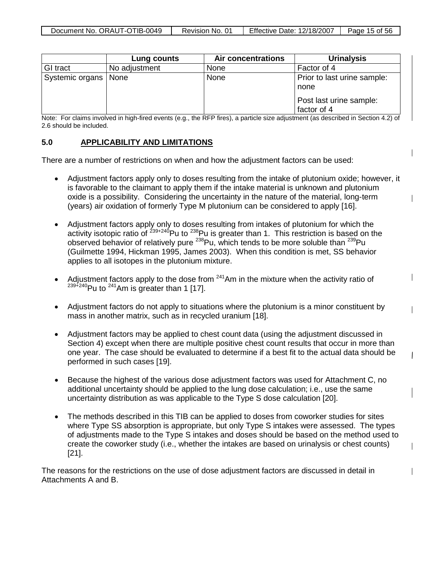|                        | Lung counts   | <b>Air concentrations</b> | <b>Urinalysis</b>                      |
|------------------------|---------------|---------------------------|----------------------------------------|
| GI tract               | No adjustment | None                      | Factor of 4                            |
| Systemic organs   None |               | None                      | Prior to last urine sample:<br>none    |
|                        |               |                           | Post last urine sample:<br>factor of 4 |

Note: For claims involved in high-fired events (e.g., the RFP fires), a particle size adjustment (as described in Section 4.2) of 2.6 should be included.

#### **5.0 APPLICABILITY AND LIMITATIONS**

There are a number of restrictions on when and how the adjustment factors can be used:

- Adjustment factors apply only to doses resulting from the intake of plutonium oxide; however, it is favorable to the claimant to apply them if the intake material is unknown and plutonium oxide is a possibility. Considering the uncertainty in the nature of the material, long-term (years) air oxidation of formerly Type M plutonium can be considered to apply [16].
- Adjustment factors apply only to doses resulting from intakes of plutonium for which the activity isotopic ratio of <sup>239+240</sup>Pu to <sup>238</sup>Pu is greater than 1. This restriction is based on the observed behavior of relatively pure  $^{238}$ Pu, which tends to be more soluble than  $^{239}$ Pu (Guilmette 1994, Hickman 1995, James 2003). When this condition is met, SS behavior applies to all isotopes in the plutonium mixture.
- Adjustment factors apply to the dose from  $241$ Am in the mixture when the activity ratio of  $239 + 240$ Pu to  $241$ Am is greater than 1 [17].
- Adjustment factors do not apply to situations where the plutonium is a minor constituent by mass in another matrix, such as in recycled uranium [18].

 $\overline{\phantom{a}}$ 

- Adjustment factors may be applied to chest count data (using the adjustment discussed in Section 4) except when there are multiple positive chest count results that occur in more than one year. The case should be evaluated to determine if a best fit to the actual data should be performed in such cases [19].
- Because the highest of the various dose adjustment factors was used for Attachment C, no additional uncertainty should be applied to the lung dose calculation; i.e., use the same uncertainty distribution as was applicable to the Type S dose calculation [20].
- The methods described in this TIB can be applied to doses from coworker studies for sites where Type SS absorption is appropriate, but only Type S intakes were assessed. The types of adjustments made to the Type S intakes and doses should be based on the method used to create the coworker study (i.e., whether the intakes are based on urinalysis or chest counts) [21].

The reasons for the restrictions on the use of dose adjustment factors are discussed in detail in Attachments A and B.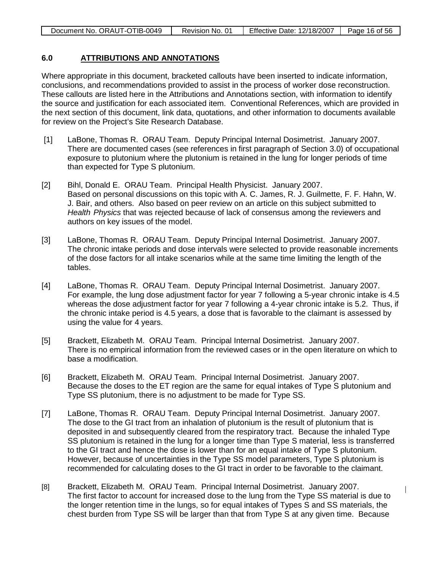|  | Document No. ORAUT-OTIB-0049 | Revision No. 01 | Effective Date: 12/18/2007 | Page 16 of 56 |
|--|------------------------------|-----------------|----------------------------|---------------|
|--|------------------------------|-----------------|----------------------------|---------------|

#### **6.0 ATTRIBUTIONS AND ANNOTATIONS**

Where appropriate in this document, bracketed callouts have been inserted to indicate information, conclusions, and recommendations provided to assist in the process of worker dose reconstruction. These callouts are listed here in the Attributions and Annotations section, with information to identify the source and justification for each associated item. Conventional References, which are provided in the next section of this document, link data, quotations, and other information to documents available for review on the Project's Site Research Database.

- [1] LaBone, Thomas R. ORAU Team. Deputy Principal Internal Dosimetrist. January 2007. There are documented cases (see references in first paragraph of Section 3.0) of occupational exposure to plutonium where the plutonium is retained in the lung for longer periods of time than expected for Type S plutonium.
- [2] Bihl, Donald E. ORAU Team. Principal Health Physicist. January 2007. Based on personal discussions on this topic with A. C. James, R. J. Guilmette, F. F. Hahn, W. J. Bair, and others. Also based on peer review on an article on this subject submitted to *Health Physics* that was rejected because of lack of consensus among the reviewers and authors on key issues of the model.
- [3] LaBone, Thomas R. ORAU Team. Deputy Principal Internal Dosimetrist. January 2007. The chronic intake periods and dose intervals were selected to provide reasonable increments of the dose factors for all intake scenarios while at the same time limiting the length of the tables.
- [4] LaBone, Thomas R. ORAU Team. Deputy Principal Internal Dosimetrist. January 2007. For example, the lung dose adjustment factor for year 7 following a 5-year chronic intake is 4.5 whereas the dose adjustment factor for year 7 following a 4-year chronic intake is 5.2. Thus, if the chronic intake period is 4.5 years, a dose that is favorable to the claimant is assessed by using the value for 4 years.
- [5] Brackett, Elizabeth M. ORAU Team. Principal Internal Dosimetrist. January 2007. There is no empirical information from the reviewed cases or in the open literature on which to base a modification.
- [6] Brackett, Elizabeth M. ORAU Team. Principal Internal Dosimetrist. January 2007. Because the doses to the ET region are the same for equal intakes of Type S plutonium and Type SS plutonium, there is no adjustment to be made for Type SS.
- [7] LaBone, Thomas R. ORAU Team. Deputy Principal Internal Dosimetrist. January 2007. The dose to the GI tract from an inhalation of plutonium is the result of plutonium that is deposited in and subsequently cleared from the respiratory tract. Because the inhaled Type SS plutonium is retained in the lung for a longer time than Type S material, less is transferred to the GI tract and hence the dose is lower than for an equal intake of Type S plutonium. However, because of uncertainties in the Type SS model parameters, Type S plutonium is recommended for calculating doses to the GI tract in order to be favorable to the claimant.
- [8] Brackett, Elizabeth M. ORAU Team. Principal Internal Dosimetrist. January 2007. The first factor to account for increased dose to the lung from the Type SS material is due to the longer retention time in the lungs, so for equal intakes of Types S and SS materials, the chest burden from Type SS will be larger than that from Type S at any given time. Because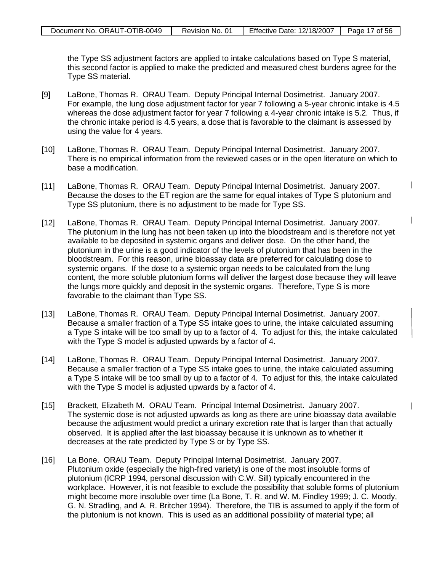the Type SS adjustment factors are applied to intake calculations based on Type S material, this second factor is applied to make the predicted and measured chest burdens agree for the Type SS material.

 $\mathbf{I}$ 

 $\overline{\phantom{a}}$ 

 $\overline{\phantom{a}}$ 

 $\overline{\phantom{a}}$ 

 $\overline{\phantom{a}}$ 

 $\overline{\phantom{a}}$ 

- [9] LaBone, Thomas R. ORAU Team. Deputy Principal Internal Dosimetrist. January 2007. For example, the lung dose adjustment factor for year 7 following a 5-year chronic intake is 4.5 whereas the dose adjustment factor for year 7 following a 4-year chronic intake is 5.2. Thus, if the chronic intake period is 4.5 years, a dose that is favorable to the claimant is assessed by using the value for 4 years.
- [10] LaBone, Thomas R. ORAU Team. Deputy Principal Internal Dosimetrist. January 2007. There is no empirical information from the reviewed cases or in the open literature on which to base a modification.
- [11] LaBone, Thomas R. ORAU Team. Deputy Principal Internal Dosimetrist. January 2007. Because the doses to the ET region are the same for equal intakes of Type S plutonium and Type SS plutonium, there is no adjustment to be made for Type SS.
- [12] LaBone, Thomas R. ORAU Team. Deputy Principal Internal Dosimetrist. January 2007. The plutonium in the lung has not been taken up into the bloodstream and is therefore not yet available to be deposited in systemic organs and deliver dose. On the other hand, the plutonium in the urine is a good indicator of the levels of plutonium that has been in the bloodstream. For this reason, urine bioassay data are preferred for calculating dose to systemic organs. If the dose to a systemic organ needs to be calculated from the lung content, the more soluble plutonium forms will deliver the largest dose because they will leave the lungs more quickly and deposit in the systemic organs. Therefore, Type S is more favorable to the claimant than Type SS.
- [13] LaBone, Thomas R. ORAU Team. Deputy Principal Internal Dosimetrist. January 2007. Because a smaller fraction of a Type SS intake goes to urine, the intake calculated assuming a Type S intake will be too small by up to a factor of 4. To adjust for this, the intake calculated with the Type S model is adjusted upwards by a factor of 4.
- [14] LaBone, Thomas R. ORAU Team. Deputy Principal Internal Dosimetrist. January 2007. Because a smaller fraction of a Type SS intake goes to urine, the intake calculated assuming a Type S intake will be too small by up to a factor of 4. To adjust for this, the intake calculated with the Type S model is adjusted upwards by a factor of 4.
- [15] Brackett, Elizabeth M. ORAU Team. Principal Internal Dosimetrist. January 2007. The systemic dose is not adjusted upwards as long as there are urine bioassay data available because the adjustment would predict a urinary excretion rate that is larger than that actually observed. It is applied after the last bioassay because it is unknown as to whether it decreases at the rate predicted by Type S or by Type SS.
- [16] La Bone. ORAU Team. Deputy Principal Internal Dosimetrist. January 2007. Plutonium oxide (especially the high-fired variety) is one of the most insoluble forms of plutonium (ICRP 1994, personal discussion with C.W. Sill) typically encountered in the workplace. However, it is not feasible to exclude the possibility that soluble forms of plutonium might become more insoluble over time (La Bone, T. R. and W. M. Findley 1999; J. C. Moody, G. N. Stradling, and A. R. Britcher 1994). Therefore, the TIB is assumed to apply if the form of the plutonium is not known. This is used as an additional possibility of material type; all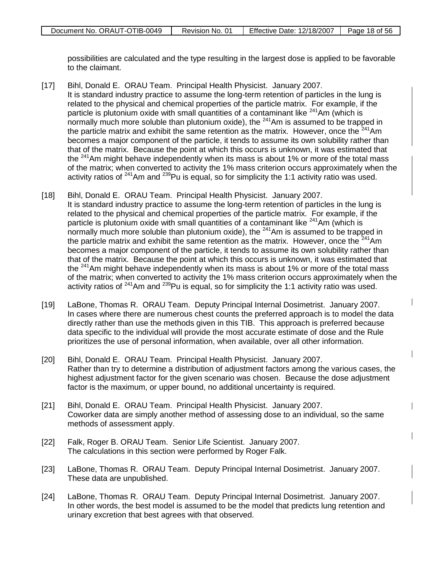possibilities are calculated and the type resulting in the largest dose is applied to be favorable to the claimant.

- [17] Bihl, Donald E. ORAU Team. Principal Health Physicist. January 2007. It is standard industry practice to assume the long-term retention of particles in the lung is related to the physical and chemical properties of the particle matrix. For example, if the particle is plutonium oxide with small quantities of a contaminant like  $241$ Am (which is normally much more soluble than plutonium oxide), the  $241$ Am is assumed to be trapped in the particle matrix and exhibit the same retention as the matrix. However, once the  $241$ Am becomes a major component of the particle, it tends to assume its own solubility rather than that of the matrix. Because the point at which this occurs is unknown, it was estimated that the  $241$ Am might behave independently when its mass is about 1% or more of the total mass of the matrix; when converted to activity the 1% mass criterion occurs approximately when the activity ratios of  $241$ Am and  $239$ Pu is equal, so for simplicity the 1:1 activity ratio was used.
- [18] Bihl, Donald E. ORAU Team. Principal Health Physicist. January 2007. It is standard industry practice to assume the long-term retention of particles in the lung is related to the physical and chemical properties of the particle matrix. For example, if the particle is plutonium oxide with small quantities of a contaminant like  $^{241}$ Am (which is normally much more soluble than plutonium oxide), the  $241$ Am is assumed to be trapped in the particle matrix and exhibit the same retention as the matrix. However, once the  $241$ Am becomes a major component of the particle, it tends to assume its own solubility rather than that of the matrix. Because the point at which this occurs is unknown, it was estimated that the <sup>241</sup>Am might behave independently when its mass is about 1% or more of the total mass of the matrix; when converted to activity the 1% mass criterion occurs approximately when the activity ratios of  $241$ Am and  $239$ Pu is equal, so for simplicity the 1:1 activity ratio was used.
- [19] LaBone, Thomas R. ORAU Team. Deputy Principal Internal Dosimetrist. January 2007. In cases where there are numerous chest counts the preferred approach is to model the data directly rather than use the methods given in this TIB. This approach is preferred because data specific to the individual will provide the most accurate estimate of dose and the Rule prioritizes the use of personal information, when available, over all other information.

 $\overline{\phantom{a}}$ 

 $\overline{\phantom{a}}$ 

 $\mathsf{l}$ 

- [20] Bihl, Donald E. ORAU Team. Principal Health Physicist. January 2007. Rather than try to determine a distribution of adjustment factors among the various cases, the highest adjustment factor for the given scenario was chosen. Because the dose adjustment factor is the maximum, or upper bound, no additional uncertainty is required.
- [21] Bihl, Donald E. ORAU Team. Principal Health Physicist. January 2007. Coworker data are simply another method of assessing dose to an individual, so the same methods of assessment apply.
- [22] Falk, Roger B. ORAU Team. Senior Life Scientist. January 2007. The calculations in this section were performed by Roger Falk.
- [23] LaBone, Thomas R. ORAU Team. Deputy Principal Internal Dosimetrist. January 2007. These data are unpublished.
- [24] LaBone, Thomas R. ORAU Team. Deputy Principal Internal Dosimetrist. January 2007. In other words, the best model is assumed to be the model that predicts lung retention and urinary excretion that best agrees with that observed.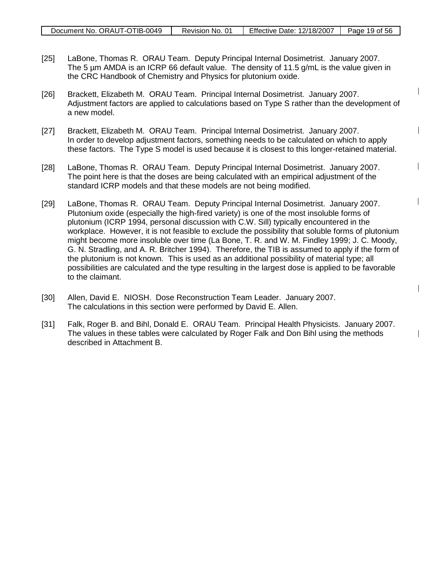| Document No. ORAUT-OTIB-0049 | Revision No. 01 | <b>Effective Date: 12/18/2007</b> | Page 19 of 56 |
|------------------------------|-----------------|-----------------------------------|---------------|

- [25] LaBone, Thomas R. ORAU Team. Deputy Principal Internal Dosimetrist. January 2007. The 5 µm AMDA is an ICRP 66 default value. The density of 11.5 g/mL is the value given in the CRC Handbook of Chemistry and Physics for plutonium oxide.
- [26] Brackett, Elizabeth M. ORAU Team. Principal Internal Dosimetrist. January 2007. Adjustment factors are applied to calculations based on Type S rather than the development of a new model.
- [27] Brackett, Elizabeth M. ORAU Team. Principal Internal Dosimetrist. January 2007. In order to develop adjustment factors, something needs to be calculated on which to apply these factors. The Type S model is used because it is closest to this longer-retained material.
- [28] LaBone, Thomas R. ORAU Team. Deputy Principal Internal Dosimetrist. January 2007. The point here is that the doses are being calculated with an empirical adjustment of the standard ICRP models and that these models are not being modified.
- [29] LaBone, Thomas R. ORAU Team. Deputy Principal Internal Dosimetrist. January 2007. Plutonium oxide (especially the high-fired variety) is one of the most insoluble forms of plutonium (ICRP 1994, personal discussion with C.W. Sill) typically encountered in the workplace. However, it is not feasible to exclude the possibility that soluble forms of plutonium might become more insoluble over time (La Bone, T. R. and W. M. Findley 1999; J. C. Moody, G. N. Stradling, and A. R. Britcher 1994). Therefore, the TIB is assumed to apply if the form of the plutonium is not known. This is used as an additional possibility of material type; all possibilities are calculated and the type resulting in the largest dose is applied to be favorable to the claimant.
- [30] Allen, David E. NIOSH. Dose Reconstruction Team Leader. January 2007. The calculations in this section were performed by David E. Allen.
- [31] Falk, Roger B. and Bihl, Donald E. ORAU Team. Principal Health Physicists. January 2007. The values in these tables were calculated by Roger Falk and Don Bihl using the methods described in Attachment B.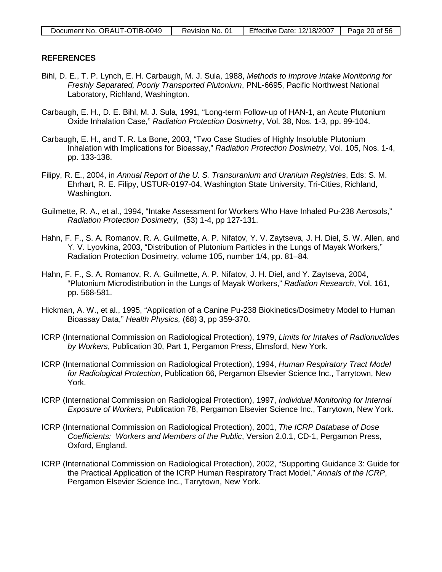#### **REFERENCES**

- Bihl, D. E., T. P. Lynch, E. H. Carbaugh, M. J. Sula, 1988, *Methods to Improve Intake Monitoring for Freshly Separated, Poorly Transported Plutonium*, PNL-6695, Pacific Northwest National Laboratory, Richland, Washington.
- Carbaugh, E. H., D. E. Bihl, M. J. Sula, 1991, "Long-term Follow-up of HAN-1, an Acute Plutonium Oxide Inhalation Case," *Radiation Protection Dosimetry*, Vol. 38, Nos. 1-3, pp. 99-104.
- Carbaugh, E. H., and T. R. La Bone, 2003, "Two Case Studies of Highly Insoluble Plutonium Inhalation with Implications for Bioassay," *Radiation Protection Dosimetry*, Vol. 105, Nos. 1-4, pp. 133-138.
- Filipy, R. E., 2004, in *Annual Report of the U. S. Transuranium and Uranium Registries*, Eds: S. M. Ehrhart, R. E. Filipy, USTUR-0197-04, Washington State University, Tri-Cities, Richland, Washington.
- Guilmette, R. A., et al., 1994, "Intake Assessment for Workers Who Have Inhaled Pu-238 Aerosols," *Radiation Protection Dosimetry,* (53) 1-4, pp 127-131.
- Hahn, F. F., S. A. Romanov, R. A. Guilmette, A. P. Nifatov, Y. V. Zaytseva, J. H. Diel, S. W. Allen, and Y. V. Lyovkina, 2003, "Distribution of Plutonium Particles in the Lungs of Mayak Workers," Radiation Protection Dosimetry, volume 105, number 1/4, pp. 81–84.
- Hahn, F. F., S. A. Romanov, R. A. Guilmette, A. P. Nifatov, J. H. Diel, and Y. Zaytseva, 2004, "Plutonium Microdistribution in the Lungs of Mayak Workers," *Radiation Research*, Vol. 161, pp. 568-581.
- Hickman, A. W., et al., 1995, "Application of a Canine Pu-238 Biokinetics/Dosimetry Model to Human Bioassay Data," *Health Physics,* (68) 3, pp 359-370.
- ICRP (International Commission on Radiological Protection), 1979, *Limits for Intakes of Radionuclides by Workers*, Publication 30, Part 1, Pergamon Press, Elmsford, New York.
- ICRP (International Commission on Radiological Protection), 1994, *Human Respiratory Tract Model for Radiological Protection*, Publication 66, Pergamon Elsevier Science Inc., Tarrytown, New York.
- ICRP (International Commission on Radiological Protection), 1997, *Individual Monitoring for Internal Exposure of Workers*, Publication 78, Pergamon Elsevier Science Inc., Tarrytown, New York.
- ICRP (International Commission on Radiological Protection), 2001, *The ICRP Database of Dose Coefficients: Workers and Members of the Public*, Version 2.0.1, CD-1, Pergamon Press, Oxford, England.
- ICRP (International Commission on Radiological Protection), 2002, "Supporting Guidance 3: Guide for the Practical Application of the ICRP Human Respiratory Tract Model," *Annals of the ICRP*, Pergamon Elsevier Science Inc., Tarrytown, New York.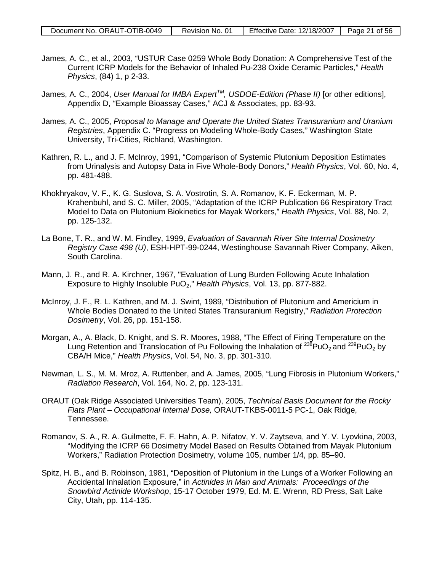- James, A. C., et al., 2003, "USTUR Case 0259 Whole Body Donation: A Comprehensive Test of the Current ICRP Models for the Behavior of Inhaled Pu-238 Oxide Ceramic Particles," *Health Physics*, (84) 1, p 2-33.
- James, A. C., 2004, *User Manual for IMBA ExpertTM, USDOE-Edition (Phase II)* [or other editions], Appendix D, "Example Bioassay Cases," ACJ & Associates, pp. 83-93.
- James, A. C., 2005, *Proposal to Manage and Operate the United States Transuranium and Uranium Registries*, Appendix C. "Progress on Modeling Whole-Body Cases," Washington State University, Tri-Cities, Richland, Washington.
- Kathren, R. L., and J. F. McInroy, 1991, "Comparison of Systemic Plutonium Deposition Estimates from Urinalysis and Autopsy Data in Five Whole-Body Donors," *Health Physics*, Vol. 60, No. 4, pp. 481-488.
- Khokhryakov, V. F., K. G. Suslova, S. A. Vostrotin, S. A. Romanov, K. F. Eckerman, M. P. Krahenbuhl, and S. C. Miller, 2005, "Adaptation of the ICRP Publication 66 Respiratory Tract Model to Data on Plutonium Biokinetics for Mayak Workers," *Health Physics*, Vol. 88, No. 2, pp. 125-132.
- La Bone, T. R., and W. M. Findley, 1999, *Evaluation of Savannah River Site Internal Dosimetry Registry Case 498 (U)*, ESH-HPT-99-0244, Westinghouse Savannah River Company, Aiken, South Carolina.
- Mann, J. R., and R. A. Kirchner, 1967, "Evaluation of Lung Burden Following Acute Inhalation Exposure to Highly Insoluble PuO<sub>2</sub>," *Health Physics*, Vol. 13, pp. 877-882.
- McInroy, J. F., R. L. Kathren, and M. J. Swint, 1989, "Distribution of Plutonium and Americium in Whole Bodies Donated to the United States Transuranium Registry," *Radiation Protection Dosimetry*, Vol. 26, pp. 151-158.
- Morgan, A., A. Black, D. Knight, and S. R. Moores, 1988, "The Effect of Firing Temperature on the Lung Retention and Translocation of Pu Following the Inhalation of  $^{238}$ PuO<sub>2</sub> and  $^{239}$ PuO<sub>2</sub> by CBA/H Mice," *Health Physics*, Vol. 54, No. 3, pp. 301-310.
- Newman, L. S., M. M. Mroz, A. Ruttenber, and A. James, 2005, "Lung Fibrosis in Plutonium Workers," *Radiation Research*, Vol. 164, No. 2, pp. 123-131.
- ORAUT (Oak Ridge Associated Universities Team), 2005, *Technical Basis Document for the Rocky Flats Plant – Occupational Internal Dose,* ORAUT-TKBS-0011-5 PC-1, Oak Ridge, Tennessee.
- Romanov, S. A., R. A. Guilmette, F. F. Hahn, A. P. Nifatov, Y. V. Zaytseva, and Y. V. Lyovkina, 2003, "Modifying the ICRP 66 Dosimetry Model Based on Results Obtained from Mayak Plutonium Workers," Radiation Protection Dosimetry, volume 105, number 1/4, pp. 85–90.
- Spitz, H. B., and B. Robinson, 1981, "Deposition of Plutonium in the Lungs of a Worker Following an Accidental Inhalation Exposure," in *Actinides in Man and Animals: Proceedings of the Snowbird Actinide Workshop*, 15-17 October 1979, Ed. M. E. Wrenn, RD Press, Salt Lake City, Utah, pp. 114-135.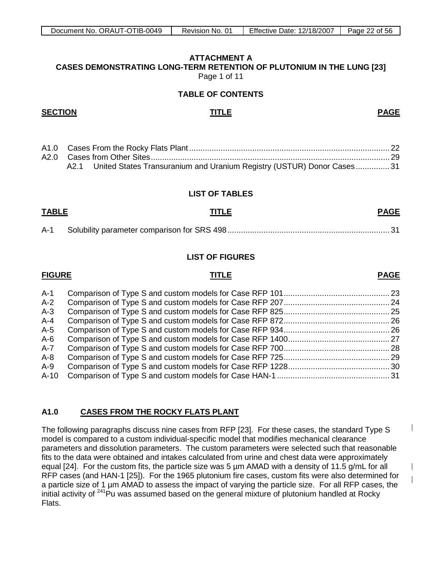#### <span id="page-21-0"></span>**ATTACHMENT A CASES DEMONSTRATING LONG-TERM RETENTION OF PLUTONIUM IN THE LUNG [23]** Page 1 of 11

**TABLE OF CONTENTS**

#### **SECTION TITLE PAGE**

|  | A2.1 United States Transuranium and Uranium Registry (USTUR) Donor Cases 31 |  |
|--|-----------------------------------------------------------------------------|--|

#### **LIST OF TABLES**

## **TABLE TITLE PAGE**

#### **LIST OF FIGURES**

## **FIGURE TITLE PAGE**

| A-1  |  |
|------|--|
| A-2  |  |
| A-3  |  |
| A-4  |  |
| A-5  |  |
| A-6  |  |
| A-7  |  |
| A-8  |  |
| A-9  |  |
| A-10 |  |
|      |  |

#### **A1.0 CASES FROM THE ROCKY FLATS PLANT**

The following paragraphs discuss nine cases from RFP [23]. For these cases, the standard Type S model is compared to a custom individual-specific model that modifies mechanical clearance parameters and dissolution parameters. The custom parameters were selected such that reasonable fits to the data were obtained and intakes calculated from urine and chest data were approximately equal [24]. For the custom fits, the particle size was 5 um AMAD with a density of 11.5 g/mL for all RFP cases (and HAN-1 [25]). For the 1965 plutonium fire cases, custom fits were also determined for a particle size of 1 µm AMAD to assess the impact of varying the particle size. For all RFP cases, the initial activity of  $241$ Pu was assumed based on the general mixture of plutonium handled at Rocky Flats.

 $\overline{\phantom{a}}$ 

 $\overline{\phantom{a}}$  $\overline{\phantom{a}}$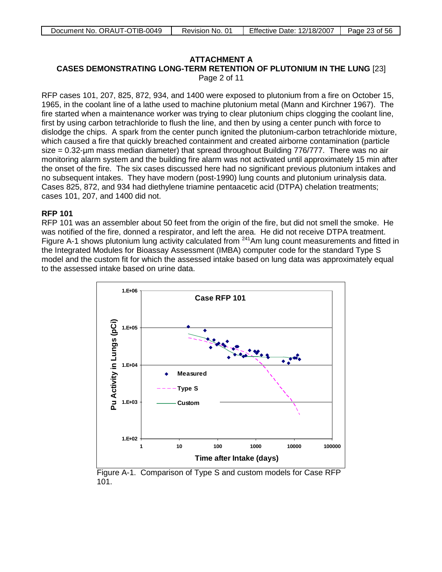## **ATTACHMENT A**

**CASES DEMONSTRATING LONG-TERM RETENTION OF PLUTONIUM IN THE LUNG** [23]

Page 2 of 11

RFP cases 101, 207, 825, 872, 934, and 1400 were exposed to plutonium from a fire on October 15, 1965, in the coolant line of a lathe used to machine plutonium metal (Mann and Kirchner 1967). The fire started when a maintenance worker was trying to clear plutonium chips clogging the coolant line, first by using carbon tetrachloride to flush the line, and then by using a center punch with force to dislodge the chips. A spark from the center punch ignited the plutonium-carbon tetrachloride mixture, which caused a fire that quickly breached containment and created airborne contamination (particle size = 0.32-µm mass median diameter) that spread throughout Building 776/777. There was no air monitoring alarm system and the building fire alarm was not activated until approximately 15 min after the onset of the fire. The six cases discussed here had no significant previous plutonium intakes and no subsequent intakes. They have modern (post-1990) lung counts and plutonium urinalysis data. Cases 825, 872, and 934 had diethylene triamine pentaacetic acid (DTPA) chelation treatments; cases 101, 207, and 1400 did not.

#### **RFP 101**

RFP 101 was an assembler about 50 feet from the origin of the fire, but did not smell the smoke. He was notified of the fire, donned a respirator, and left the area. He did not receive DTPA treatment. Figure A-1 shows plutonium lung activity calculated from <sup>241</sup>Am lung count measurements and fitted in the Integrated Modules for Bioassay Assessment (IMBA) computer code for the standard Type S model and the custom fit for which the assessed intake based on lung data was approximately equal to the assessed intake based on urine data.



Figure A-1. Comparison of Type S and custom models for Case RFP 101.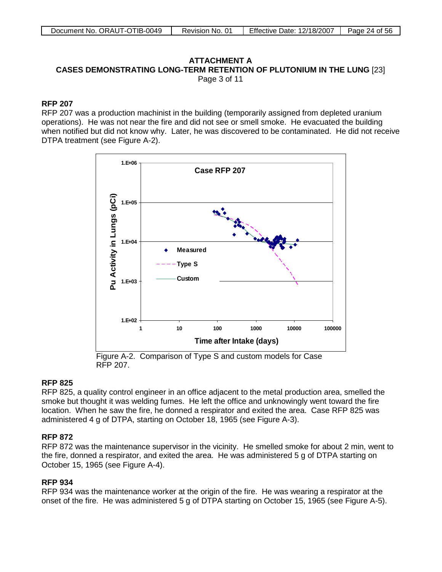#### **ATTACHMENT A CASES DEMONSTRATING LONG-TERM RETENTION OF PLUTONIUM IN THE LUNG** [23] Page 3 of 11

#### **RFP 207**

RFP 207 was a production machinist in the building (temporarily assigned from depleted uranium operations). He was not near the fire and did not see or smell smoke. He evacuated the building when notified but did not know why. Later, he was discovered to be contaminated. He did not receive DTPA treatment (see Figure A-2).



Figure A-2. Comparison of Type S and custom models for Case RFP 207.

#### **RFP 825**

RFP 825, a quality control engineer in an office adjacent to the metal production area, smelled the smoke but thought it was welding fumes. He left the office and unknowingly went toward the fire location. When he saw the fire, he donned a respirator and exited the area. Case RFP 825 was administered 4 g of DTPA, starting on October 18, 1965 (see Figure A-3).

#### **RFP 872**

RFP 872 was the maintenance supervisor in the vicinity. He smelled smoke for about 2 min, went to the fire, donned a respirator, and exited the area. He was administered 5 g of DTPA starting on October 15, 1965 (see Figure A-4).

#### **RFP 934**

RFP 934 was the maintenance worker at the origin of the fire. He was wearing a respirator at the onset of the fire. He was administered 5 g of DTPA starting on October 15, 1965 (see Figure A-5).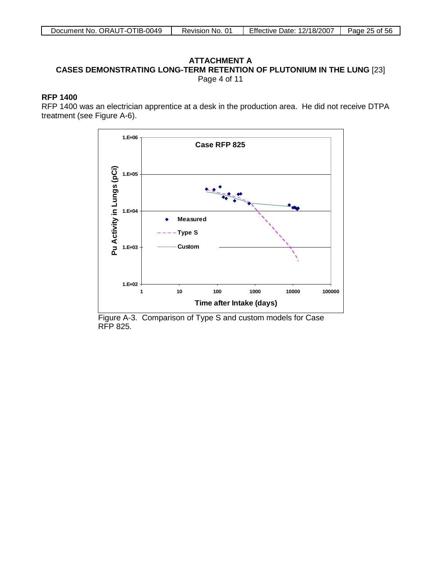#### **ATTACHMENT A CASES DEMONSTRATING LONG-TERM RETENTION OF PLUTONIUM IN THE LUNG** [23] Page 4 of 11

#### **RFP 1400**

RFP 1400 was an electrician apprentice at a desk in the production area. He did not receive DTPA treatment (see Figure A-6).



Figure A-3. Comparison of Type S and custom models for Case RFP 825.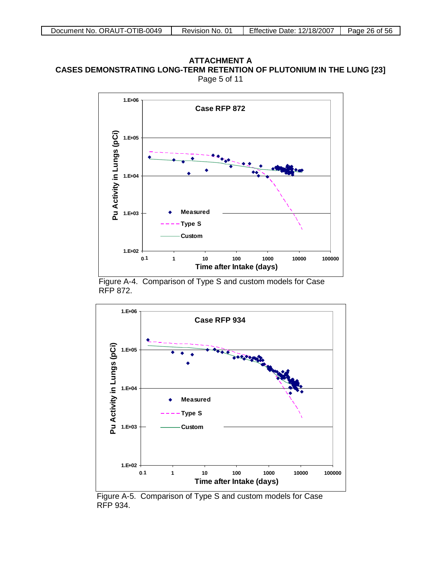#### **ATTACHMENT A CASES DEMONSTRATING LONG-TERM RETENTION OF PLUTONIUM IN THE LUNG [23]** Page 5 of 11



Figure A-4. Comparison of Type S and custom models for Case RFP 872.



Figure A-5. Comparison of Type S and custom models for Case RFP 934.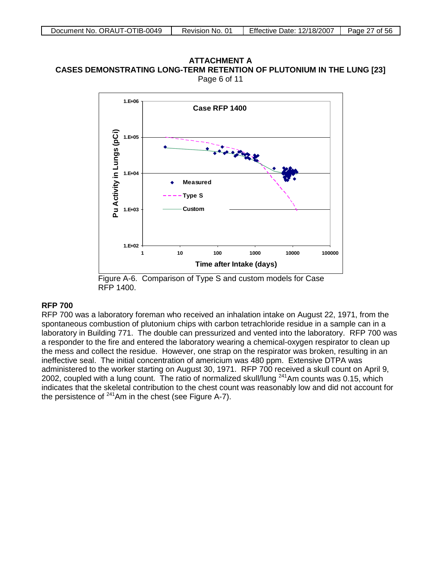#### **ATTACHMENT A CASES DEMONSTRATING LONG-TERM RETENTION OF PLUTONIUM IN THE LUNG [23]** Page 6 of 11



Figure A-6. Comparison of Type S and custom models for Case RFP 1400.

#### **RFP 700**

RFP 700 was a laboratory foreman who received an inhalation intake on August 22, 1971, from the spontaneous combustion of plutonium chips with carbon tetrachloride residue in a sample can in a laboratory in Building 771. The double can pressurized and vented into the laboratory. RFP 700 was a responder to the fire and entered the laboratory wearing a chemical-oxygen respirator to clean up the mess and collect the residue. However, one strap on the respirator was broken, resulting in an ineffective seal. The initial concentration of americium was 480 ppm. Extensive DTPA was administered to the worker starting on August 30, 1971. RFP 700 received a skull count on April 9, 2002, coupled with a lung count. The ratio of normalized skull/lung 241Am counts was 0.15, which indicates that the skeletal contribution to the chest count was reasonably low and did not account for the persistence of  $241$ Am in the chest (see Figure A-7).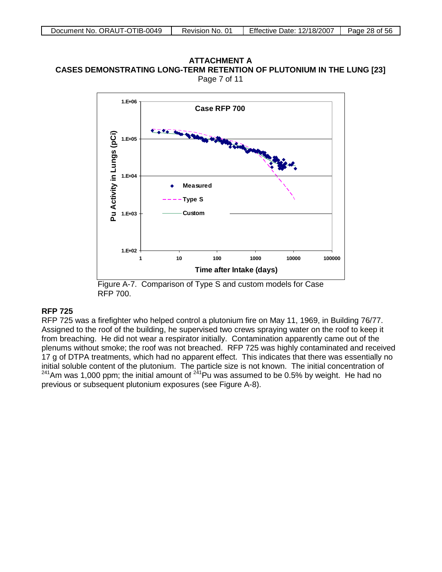#### ATTACHMENT A ATTACHMENT A<br>CASES DEMONSTRATING LONG-TERM RETENTION OF PLUTONIUM IN THE LUNG [23] Page 7 of 11



Figure A-7. Comparison of Type S and custom models for Case RFP 700.

## **RFP 725**

RFP 725 was a firefighter who helped control a plutonium fire on May 11, 1969, in Building 76/77. Assigned to the roof of the building, he supervised two crews spraying water on the roof to keep it from breaching. He did not wear a respirator initially. Contamination apparently came out of the plenums without smoke; the roof was not breached. RFP 725 was highly contaminated and received 17 g of DTPA treatments, which had no apparent effect. This indicates that there was essentially no initial soluble content of the plutonium. The particle size is not known. The initial concentration of  $^{241}$ Am was 1,000 ppm; the initial amount of  $^{241}$ Pu was assumed to be 0.5% by weight. He had no previous or subsequent plutonium exposures (see Figure A-8).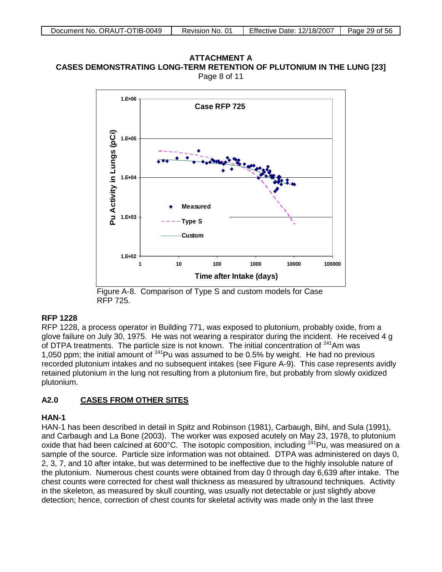**ATTACHMENT A CASES DEMONSTRATING LONG-TERM RETENTION OF PLUTONIUM IN THE LUNG [23]** Page 8 of 11



Figure A-8. Comparison of Type S and custom models for Case RFP 725.

#### **RFP 1228**

RFP 1228, a process operator in Building 771, was exposed to plutonium, probably oxide, from a glove failure on July 30, 1975. He was not wearing a respirator during the incident. He received 4 g of DTPA treatments. The particle size is not known. The initial concentration of  $241$ Am was 1,050 ppm; the initial amount of  $^{241}$ Pu was assumed to be 0.5% by weight. He had no previous recorded plutonium intakes and no subsequent intakes (see Figure A-9). This case represents avidly retained plutonium in the lung not resulting from a plutonium fire, but probably from slowly oxidized plutonium.

#### **A2.0 CASES FROM OTHER SITES**

#### **HAN-1**

HAN-1 has been described in detail in Spitz and Robinson (1981), Carbaugh, Bihl, and Sula (1991), and Carbaugh and La Bone (2003). The worker was exposed acutely on May 23, 1978, to plutonium oxide that had been calcined at 600°C. The isotopic composition, including  $2^{41}$ Pu, was measured on a sample of the source. Particle size information was not obtained. DTPA was administered on days 0, 2, 3, 7, and 10 after intake, but was determined to be ineffective due to the highly insoluble nature of the plutonium. Numerous chest counts were obtained from day 0 through day 6,639 after intake. The chest counts were corrected for chest wall thickness as measured by ultrasound techniques. Activity in the skeleton, as measured by skull counting, was usually not detectable or just slightly above detection; hence, correction of chest counts for skeletal activity was made only in the last three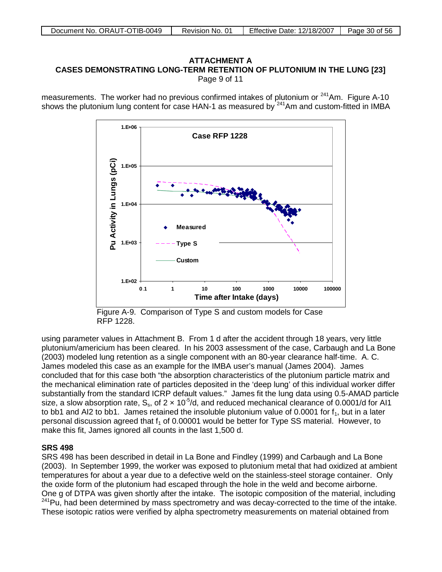#### **ATTACHMENT A CASES DEMONSTRATING LONG-TERM RETENTION OF PLUTONIUM IN THE LUNG [23]** Page 9 of 11

measurements. The worker had no previous confirmed intakes of plutonium or  $241$ Am. Figure A-10 shows the plutonium lung content for case HAN-1 as measured by  $241$ Am and custom-fitted in IMBA



Figure A-9. Comparison of Type S and custom models for Case RFP 1228.

using parameter values in Attachment B. From 1 d after the accident through 18 years, very little plutonium/americium has been cleared. In his 2003 assessment of the case, Carbaugh and La Bone (2003) modeled lung retention as a single component with an 80-year clearance half-time. A. C. James modeled this case as an example for the IMBA user's manual (James 2004). James concluded that for this case both "the absorption characteristics of the plutonium particle matrix and the mechanical elimination rate of particles deposited in the 'deep lung' of this individual worker differ substantially from the standard ICRP default values." James fit the lung data using 0.5-AMAD particle size, a slow absorption rate,  $S_s$ , of 2  $\times$  10<sup>-5</sup>/d, and reduced mechanical clearance of 0.0001/d for Al1 to bb1 and AI2 to bb1. James retained the insoluble plutonium value of 0.0001 for  $f_1$ , but in a later personal discussion agreed that  $f_1$  of 0.00001 would be better for Type SS material. However, to make this fit, James ignored all counts in the last 1,500 d.

## **SRS 498**

SRS 498 has been described in detail in La Bone and Findley (1999) and Carbaugh and La Bone (2003). In September 1999, the worker was exposed to plutonium metal that had oxidized at ambient temperatures for about a year due to a defective weld on the stainless-steel storage container. Only the oxide form of the plutonium had escaped through the hole in the weld and become airborne. One g of DTPA was given shortly after the intake. The isotopic composition of the material, including  $241$ Pu, had been determined by mass spectrometry and was decay-corrected to the time of the intake. These isotopic ratios were verified by alpha spectrometry measurements on material obtained from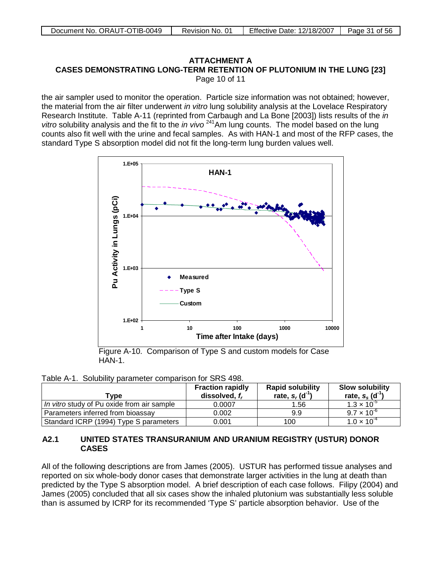#### ATTACHMENT A ATTACHMENT A<br>CASES DEMONSTRATING LONG-TERM RETENTION OF PLUTONIUM IN THE LUNG [23] Page 10 of 11

the air sampler used to monitor the operation. Particle size information was not obtained; however, the material from the air filter underwent *in vitro* lung solubility analysis at the Lovelace Respiratory Research Institute. Table A-11 (reprinted from Carbaugh and La Bone [2003]) lists results of the *in*  vitro solubility analysis and the fit to the *in vivo* <sup>241</sup>Am lung counts. The model based on the lung counts also fit well with the urine and fecal samples. As with HAN-1 and most of the RFP cases, the standard Type S absorption model did not fit the long-term lung burden values well.



Figure A-10. Comparison of Type S and custom models for Case HAN-1.

|  |  |  |  | Table A-1. Solubility parameter comparison for SRS 498. |
|--|--|--|--|---------------------------------------------------------|
|--|--|--|--|---------------------------------------------------------|

| Tvpe                                       | <b>Fraction rapidly</b><br>dissolved, $f_r$ | <b>Rapid solubility</b><br>rate, $s_r$ (d <sup>-1</sup> ) | <b>Slow solubility</b><br>rate, $s_s$ (d <sup>-1</sup> ) |
|--------------------------------------------|---------------------------------------------|-----------------------------------------------------------|----------------------------------------------------------|
| In vitro study of Pu oxide from air sample | 0.0007                                      | 1.56                                                      | $1.3 \times 10^{-5}$                                     |
| Parameters inferred from bioassay          | 0.002                                       | 9.9                                                       | $9.7 \times 10^{-6}$                                     |
| Standard ICRP (1994) Type S parameters     | 0.001                                       | 100                                                       | $1.0 \times 10^{-4}$                                     |

#### **A2.1 UNITED STATES TRANSURANIUM AND URANIUM REGISTRY (USTUR) DONOR CASES**

All of the following descriptions are from James (2005). USTUR has performed tissue analyses and reported on six whole-body donor cases that demonstrate larger activities in the lung at death than predicted by the Type S absorption model. A brief description of each case follows. Filipy (2004) and James (2005) concluded that all six cases show the inhaled plutonium was substantially less soluble than is assumed by ICRP for its recommended 'Type S' particle absorption behavior. Use of the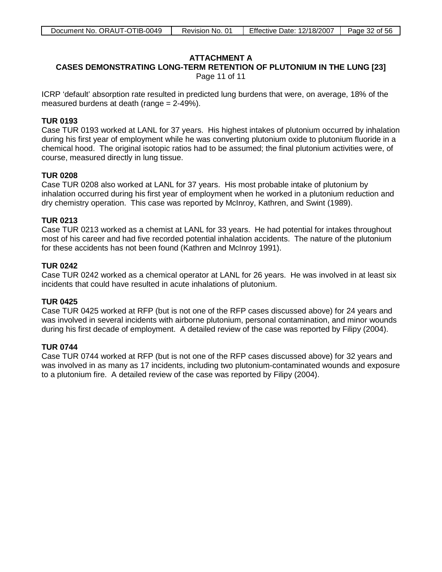## **ATTACHMENT A**

# **CASES DEMONSTRATING LONG-TERM RETENTION OF PLUTONIUM IN THE LUNG [23]**

Page 11 of 11

ICRP 'default' absorption rate resulted in predicted lung burdens that were, on average, 18% of the measured burdens at death (range = 2-49%).

#### **TUR 0193**

Case TUR 0193 worked at LANL for 37 years. His highest intakes of plutonium occurred by inhalation during his first year of employment while he was converting plutonium oxide to plutonium fluoride in a chemical hood. The original isotopic ratios had to be assumed; the final plutonium activities were, of course, measured directly in lung tissue.

#### **TUR 0208**

Case TUR 0208 also worked at LANL for 37 years. His most probable intake of plutonium by inhalation occurred during his first year of employment when he worked in a plutonium reduction and dry chemistry operation. This case was reported by McInroy, Kathren, and Swint (1989).

#### **TUR 0213**

Case TUR 0213 worked as a chemist at LANL for 33 years. He had potential for intakes throughout most of his career and had five recorded potential inhalation accidents. The nature of the plutonium for these accidents has not been found (Kathren and McInroy 1991).

## **TUR 0242**

Case TUR 0242 worked as a chemical operator at LANL for 26 years. He was involved in at least six incidents that could have resulted in acute inhalations of plutonium.

## **TUR 0425**

Case TUR 0425 worked at RFP (but is not one of the RFP cases discussed above) for 24 years and was involved in several incidents with airborne plutonium, personal contamination, and minor wounds during his first decade of employment. A detailed review of the case was reported by Filipy (2004).

## **TUR 0744**

Case TUR 0744 worked at RFP (but is not one of the RFP cases discussed above) for 32 years and was involved in as many as 17 incidents, including two plutonium-contaminated wounds and exposure to a plutonium fire. A detailed review of the case was reported by Filipy (2004).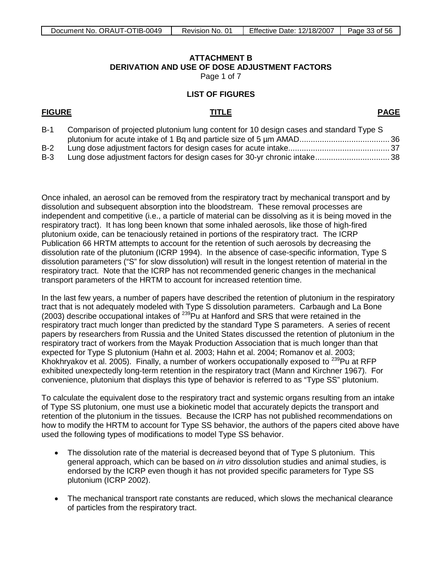# **ATTACHMENT B DERIVATION AND USE OF DOSE ADJUSTMENT FACTORS**

Page 1 of 7

#### **LIST OF FIGURES**

#### <span id="page-32-0"></span>**FIGURE TITLE**

**PAGE**

| $B-1$ | Comparison of projected plutonium lung content for 10 design cases and standard Type S |  |
|-------|----------------------------------------------------------------------------------------|--|
|       |                                                                                        |  |
| $B-2$ |                                                                                        |  |
| $B-3$ |                                                                                        |  |

Once inhaled, an aerosol can be removed from the respiratory tract by mechanical transport and by dissolution and subsequent absorption into the bloodstream. These removal processes are independent and competitive (i.e., a particle of material can be dissolving as it is being moved in the respiratory tract). It has long been known that some inhaled aerosols, like those of high-fired plutonium oxide, can be tenaciously retained in portions of the respiratory tract. The ICRP Publication 66 HRTM attempts to account for the retention of such aerosols by decreasing the dissolution rate of the plutonium (ICRP 1994). In the absence of case-specific information, Type S dissolution parameters ("S" for slow dissolution) will result in the longest retention of material in the respiratory tract. Note that the ICRP has not recommended generic changes in the mechanical transport parameters of the HRTM to account for increased retention time.

In the last few years, a number of papers have described the retention of plutonium in the respiratory tract that is not adequately modeled with Type S dissolution parameters. Carbaugh and La Bone (2003) describe occupational intakes of 239Pu at Hanford and SRS that were retained in the respiratory tract much longer than predicted by the standard Type S parameters. A series of recent papers by researchers from Russia and the United States discussed the retention of plutonium in the respiratory tract of workers from the Mayak Production Association that is much longer than that expected for Type S plutonium (Hahn et al. 2003; Hahn et al. 2004; Romanov et al. 2003; Khokhryakov et al. 2005). Finally, a number of workers occupationally exposed to  $^{239}$ Pu at RFP exhibited unexpectedly long-term retention in the respiratory tract (Mann and Kirchner 1967). For convenience, plutonium that displays this type of behavior is referred to as "Type SS" plutonium.

To calculate the equivalent dose to the respiratory tract and systemic organs resulting from an intake of Type SS plutonium, one must use a biokinetic model that accurately depicts the transport and retention of the plutonium in the tissues. Because the ICRP has not published recommendations on how to modify the HRTM to account for Type SS behavior, the authors of the papers cited above have used the following types of modifications to model Type SS behavior.

- The dissolution rate of the material is decreased beyond that of Type S plutonium. This general approach, which can be based on *in vitro* dissolution studies and animal studies, is endorsed by the ICRP even though it has not provided specific parameters for Type SS plutonium (ICRP 2002).
- The mechanical transport rate constants are reduced, which slows the mechanical clearance of particles from the respiratory tract.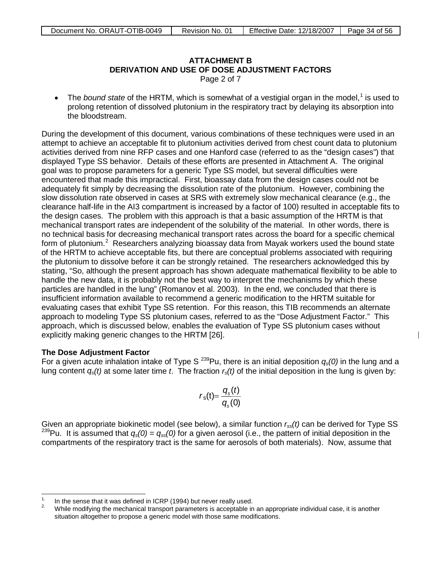# **ATTACHMENT B Derivation and Use of Dose Adjustment Factors DERIVATION AND USE OF DOSE ADJUSTMENT FACTORS**

Page 2 of 7

• The *bound state* of the HRTM, which is somewhat of a vestigial organ in the model,<sup>[1](#page-33-0)</sup> is used to prolong retention of dissolved plutonium in the respiratory tract by delaying its absorption into the bloodstream.

During the development of this document, various combinations of these techniques were used in an attempt to achieve an acceptable fit to plutonium activities derived from chest count data to plutonium activities derived from nine RFP cases and one Hanford case (referred to as the "design cases") that displayed Type SS behavior. Details of these efforts are presented in Attachment A. The original goal was to propose parameters for a generic Type SS model, but several difficulties were encountered that made this impractical. First, bioassay data from the design cases could not be adequately fit simply by decreasing the dissolution rate of the plutonium. However, combining the slow dissolution rate observed in cases at SRS with extremely slow mechanical clearance (e.g., the clearance half-life in the AI3 compartment is increased by a factor of 100) resulted in acceptable fits to the design cases. The problem with this approach is that a basic assumption of the HRTM is that mechanical transport rates are independent of the solubility of the material. In other words, there is no technical basis for decreasing mechanical transport rates across the board for a specific chemical form of plutonium.<sup>[2](#page-33-1)</sup> Researchers analyzing bioassay data from Mayak workers used the bound state of the HRTM to achieve acceptable fits, but there are conceptual problems associated with requiring the plutonium to dissolve before it can be strongly retained. The researchers acknowledged this by stating, "So, although the present approach has shown adequate mathematical flexibility to be able to handle the new data, it is probably not the best way to interpret the mechanisms by which these particles are handled in the lung" (Romanov et al. 2003). In the end, we concluded that there is insufficient information available to recommend a generic modification to the HRTM suitable for evaluating cases that exhibit Type SS retention. For this reason, this TIB recommends an alternate approach to modeling Type SS plutonium cases, referred to as the "Dose Adjustment Factor." This approach, which is discussed below, enables the evaluation of Type SS plutonium cases without explicitly making generic changes to the HRTM [26].

#### **The Dose Adjustment Factor**

 $\overline{a}$ 

For a given acute inhalation intake of Type S 239Pu, there is an initial deposition *qs(0)* in the lung and a lung content *qs(t)* at some later time *t*. The fraction *rs(t)* of the initial deposition in the lung is given by:

$$
r_{\rm s}(t) = \frac{q_{\rm s}(t)}{q_{\rm s}(0)}
$$

Given an appropriate biokinetic model (see below), a similar function *rss(t)* can be derived for Type SS <sup>239</sup>Pu. It is assumed that  $q_s(0) = q_{ss}(0)$  for a given aerosol (i.e., the pattern of initial deposition in the compartments of the respiratory tract is the same for aerosols of both materials). Now, assume that

<span id="page-33-1"></span><span id="page-33-0"></span><sup>&</sup>lt;sup>1.</sup> In the sense that it was defined in ICRP (1994) but never really used.<br><sup>2.</sup> While modifying the mechanical transport parameters is acceptable in an appropriate individual case, it is another situation altogether to propose a generic model with those same modifications.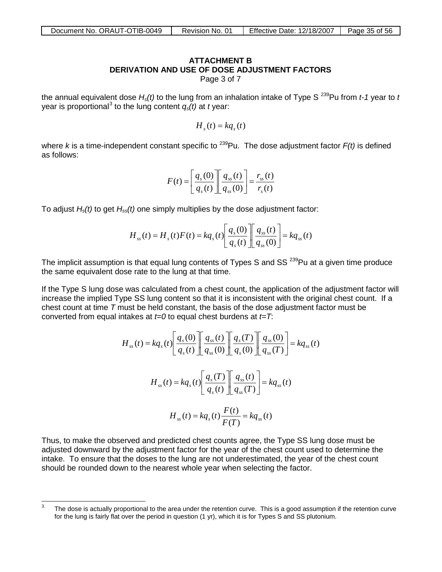# **ATTACHMENT B DERIVATION AND USE OF DOSE ADJUSTMENT FACTORS**

Page 3 of 7

the annual equivalent dose  $H_s(t)$  to the lung from an inhalation intake of Type S<sup>239</sup>Pu from *t-1* year to *t* year is proportional<sup>[3](#page-34-0)</sup> to the lung content  $q_{s}(t)$  at *t* year:

$$
H_s(t) = k q_s(t)
$$

where *k* is a time-independent constant specific to <sup>239</sup>Pu. The dose adjustment factor  $F(t)$  is defined as follows:

$$
F(t) = \left[\frac{q_s(0)}{q_s(t)}\right] \left[\frac{q_{ss}(t)}{q_{ss}(0)}\right] = \frac{r_{ss}(t)}{r_s(t)}
$$

To adjust *Hs(t)* to get *Hss(t)* one simply multiplies by the dose adjustment factor:

$$
H_{ss}(t) = H_s(t)F(t) = kq_s(t)\left[\frac{q_s(0)}{q_s(t)}\right]\left[\frac{q_{ss}(t)}{q_{ss}(0)}\right] = kq_{ss}(t)
$$

The implicit assumption is that equal lung contents of Types S and  $SS^{239}$ Pu at a given time produce the same equivalent dose rate to the lung at that time.

If the Type S lung dose was calculated from a chest count, the application of the adjustment factor will increase the implied Type SS lung content so that it is inconsistent with the original chest count. If a chest count at time *T* must be held constant, the basis of the dose adjustment factor must be converted from equal intakes at *t=0* to equal chest burdens at *t=T*:

$$
H_{ss}(t) = kq_s(t) \left[ \frac{q_s(0)}{q_s(t)} \right] \left[ \frac{q_{ss}(t)}{q_{ss}(0)} \right] \left[ \frac{q_s(T)}{q_s(0)} \right] \left[ \frac{q_{ss}(0)}{q_{ss}(T)} \right] = kq_{ss}(t)
$$

$$
H_{ss}(t) = kq_s(t) \left[ \frac{q_s(T)}{q_s(t)} \right] \left[ \frac{q_{ss}(t)}{q_{ss}(T)} \right] = kq_{ss}(t)
$$

$$
H_{ss}(t) = kq_s(t) \frac{F(t)}{F(T)} = kq_{ss}(t)
$$

Thus, to make the observed and predicted chest counts agree, the Type SS lung dose must be adjusted downward by the adjustment factor for the year of the chest count used to determine the intake. To ensure that the doses to the lung are not underestimated, the year of the chest count should be rounded down to the nearest whole year when selecting the factor.

<span id="page-34-0"></span><sup>3.</sup> The dose is actually proportional to the area under the retention curve. This is a good assumption if the retention curve for the lung is fairly flat over the period in question (1 yr), which it is for Types S and SS plutonium.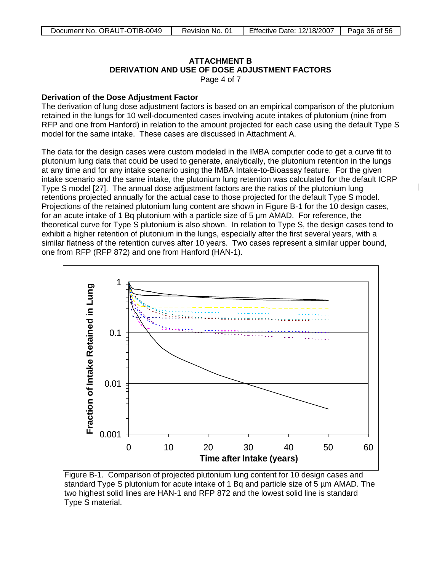#### **ATTACHMENT B Derivation and Use of Dose Adjustment Factors DERIVATION AND USE OF DOSE ADJUSTMENT FACTORS**

Page 4 of 7

#### **Derivation of the Dose Adjustment Factor**

The derivation of lung dose adjustment factors is based on an empirical comparison of the plutonium retained in the lungs for 10 well-documented cases involving acute intakes of plutonium (nine from RFP and one from Hanford) in relation to the amount projected for each case using the default Type S model for the same intake. These cases are discussed in Attachment A.

The data for the design cases were custom modeled in the IMBA computer code to get a curve fit to plutonium lung data that could be used to generate, analytically, the plutonium retention in the lungs at any time and for any intake scenario using the IMBA Intake-to-Bioassay feature. For the given intake scenario and the same intake, the plutonium lung retention was calculated for the default ICRP Type S model [27]. The annual dose adjustment factors are the ratios of the plutonium lung retentions projected annually for the actual case to those projected for the default Type S model. Projections of the retained plutonium lung content are shown in Figure B-1 for the 10 design cases, for an acute intake of 1 Bq plutonium with a particle size of 5 µm AMAD. For reference, the theoretical curve for Type S plutonium is also shown. In relation to Type S, the design cases tend to exhibit a higher retention of plutonium in the lungs, especially after the first several years, with a similar flatness of the retention curves after 10 years. Two cases represent a similar upper bound, one from RFP (RFP 872) and one from Hanford (HAN-1).



Figure B-1. Comparison of projected plutonium lung content for 10 design cases and standard Type S plutonium for acute intake of 1 Bq and particle size of 5 µm AMAD. The two highest solid lines are HAN-1 and RFP 872 and the lowest solid line is standard Type S material.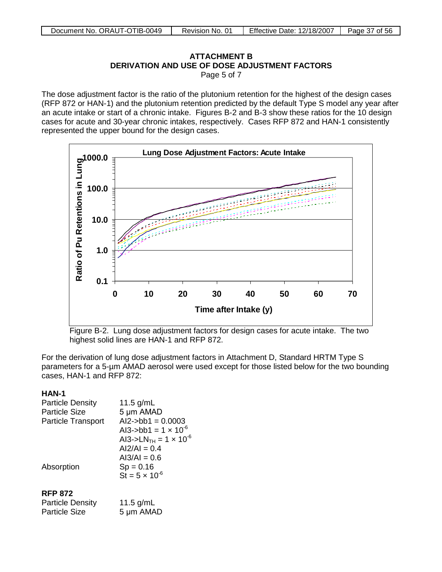## **ATTACHMENT B ATTACHMENT B** DERIVATION AND USE OF DOSE ADJ USTMENT FACTORS **DERIVATION AND USE OF DOSE ADJUSTMENT FACTORS** Page 5 of 7

The dose adjustment factor is the ratio of the plutonium retention for the highest of the design cases (RFP 872 or HAN-1) and the plutonium retention predicted by the default Type S model any year after an acute intake or start of a chronic intake. Figures B-2 and B-3 show these ratios for the 10 design cases for acute and 30-year chronic intakes, respectively. Cases RFP 872 and HAN-1 consistently represented the upper bound for the design cases.



Figure B-2. Lung dose adjustment factors for design cases for acute intake. The two highest solid lines are HAN-1 and RFP 872.

For the derivation of lung dose adjustment factors in Attachment D, Standard HRTM Type S parameters for a 5-µm AMAD aerosol were used except for those listed below for the two bounding cases, HAN-1 and RFP 872:

## **HAN-1**

| <b>Particle Density</b>   | 11.5 $g/mL$                                |
|---------------------------|--------------------------------------------|
| <b>Particle Size</b>      | 5 µm AMAD                                  |
| <b>Particle Transport</b> | $Al2$ ->bb1 = 0.0003                       |
|                           | Al3->bb1 = $1 \times 10^{-6}$              |
|                           | AI3->LN <sub>TH</sub> = $1 \times 10^{-6}$ |
|                           | $Al2/Al = 0.4$                             |
|                           | $A13/AI = 0.6$                             |
| Absorption                | $Sp = 0.16$                                |
|                           | $St = 5 \times 10^{-6}$                    |
| <b>RFP 872</b>            |                                            |
| <b>Particle Density</b>   | 11.5 $g/mL$                                |
| <b>Particle Size</b>      | 5 µm AMAD                                  |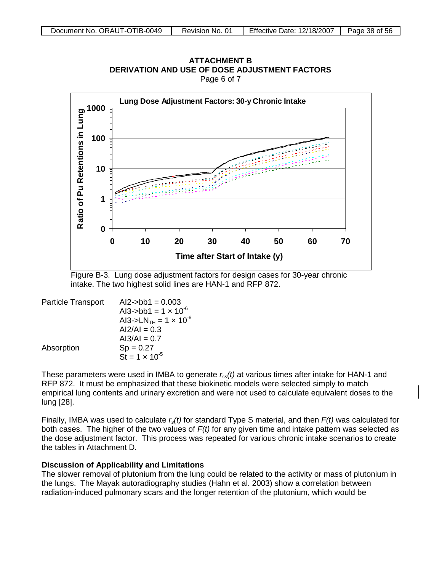

**ATTACHMENT B** DERIVATION AND USE OF DOSE ADJ USTMENT FACTORS **DERIVATION AND USE OF DOSE ADJUSTMENT FACTORS**Page 6 of 7

Figure B-3. Lung dose adjustment factors for design cases for 30-year chronic intake. The two highest solid lines are HAN-1 and RFP 872.

| <b>Particle Transport</b> | $Al2$ ->bb1 = 0.003                        |
|---------------------------|--------------------------------------------|
|                           | Al3->bb1 = $1 \times 10^{-6}$              |
|                           | AI3->LN <sub>TH</sub> = $1 \times 10^{-6}$ |
|                           | $Al2/Al = 0.3$                             |
|                           | $AI3/AI = 0.7$                             |
| Absorption                | $Sp = 0.27$                                |
|                           | St = $1 \times 10^{-5}$                    |

These parameters were used in IMBA to generate *rss(t)* at various times after intake for HAN-1 and RFP 872. It must be emphasized that these biokinetic models were selected simply to match empirical lung contents and urinary excretion and were not used to calculate equivalent doses to the lung [28].

Finally, IMBA was used to calculate *rs(t)* for standard Type S material, and then *F(t)* was calculated for both cases. The higher of the two values of *F(t)* for any given time and intake pattern was selected as the dose adjustment factor. This process was repeated for various chronic intake scenarios to create the tables in Attachment D.

#### **Discussion of Applicability and Limitations**

The slower removal of plutonium from the lung could be related to the activity or mass of plutonium in the lungs. The Mayak autoradiography studies (Hahn et al. 2003) show a correlation between radiation-induced pulmonary scars and the longer retention of the plutonium, which would be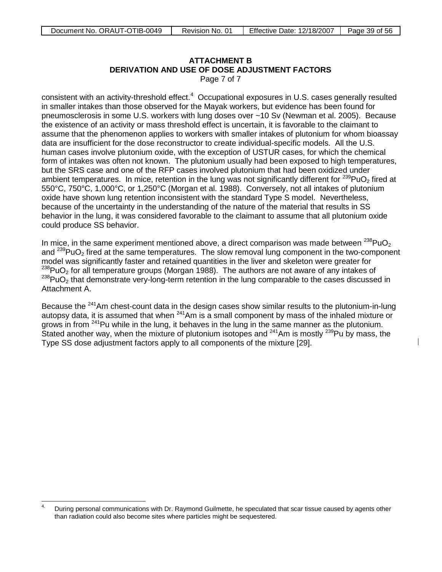# **ATTACHMENT B DERIVATION AND USE OF DOSE ADJUSTMENT FACTORS**

Page 7 of 7

consistent with an activity-threshold effect. $4$  Occupational exposures in U.S. cases generally resulted in smaller intakes than those observed for the Mayak workers, but evidence has been found for pneumosclerosis in some U.S. workers with lung doses over ~10 Sv (Newman et al. 2005). Because the existence of an activity or mass threshold effect is uncertain, it is favorable to the claimant to assume that the phenomenon applies to workers with smaller intakes of plutonium for whom bioassay data are insufficient for the dose reconstructor to create individual-specific models. All the U.S. human cases involve plutonium oxide, with the exception of USTUR cases, for which the chemical form of intakes was often not known. The plutonium usually had been exposed to high temperatures, but the SRS case and one of the RFP cases involved plutonium that had been oxidized under ambient temperatures. In mice, retention in the lung was not significantly different for  $^{239}$ PuO<sub>2</sub> fired at 550°C, 750°C, 1,000°C, or 1,250°C (Morgan et al. 1988). Conversely, not all intakes of plutonium oxide have shown lung retention inconsistent with the standard Type S model. Nevertheless, because of the uncertainty in the understanding of the nature of the material that results in SS behavior in the lung, it was considered favorable to the claimant to assume that all plutonium oxide could produce SS behavior.

In mice, in the same experiment mentioned above, a direct comparison was made between  $^{238}PuO<sub>2</sub>$ and  $^{239}$ PuO<sub>2</sub> fired at the same temperatures. The slow removal lung component in the two-component model was significantly faster and retained quantities in the liver and skeleton were greater for  $^{238}$ PuO<sub>2</sub> for all temperature groups (Morgan 1988). The authors are not aware of any intakes of <sup>238</sup>PuO<sub>2</sub> that demonstrate very-long-term retention in the lung comparable to the cases discussed in Attachment A.

Because the  $241$ Am chest-count data in the design cases show similar results to the plutonium-in-lung autopsy data, it is assumed that when 241Am is a small component by mass of the inhaled mixture or grows in from <sup>241</sup>Pu while in the lung, it behaves in the lung in the same manner as the plutonium. Stated another way, when the mixture of plutonium isotopes and  $241$ Am is mostly  $239$ Pu by mass, the Type SS dose adjustment factors apply to all components of the mixture [29].

<span id="page-38-0"></span> $\overline{4}$ 4. During personal communications with Dr. Raymond Guilmette, he speculated that scar tissue caused by agents other than radiation could also become sites where particles might be sequestered.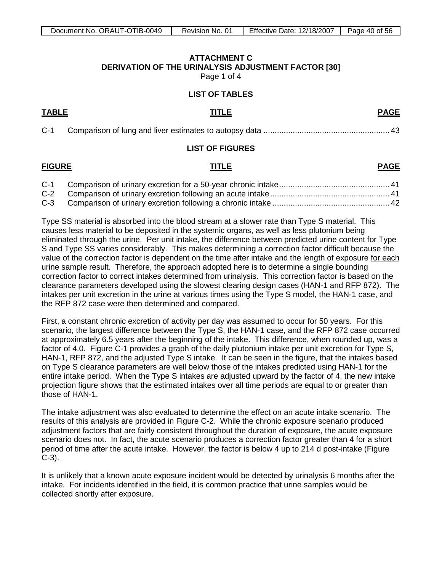## **ATTACHMENT C DERIVATION OF THE URINALYSIS ADJUSTMENT FACTOR [30]**

Page 1 of 4

#### **LIST OF TABLES**

<span id="page-39-0"></span>**TABLE TITLE PAGE**

| $C-1$ |  |  |  |
|-------|--|--|--|
|-------|--|--|--|

#### **LIST OF FIGURES**

## **FIGURE TITLE PAGE**

Type SS material is absorbed into the blood stream at a slower rate than Type S material. This causes less material to be deposited in the systemic organs, as well as less plutonium being eliminated through the urine. Per unit intake, the difference between predicted urine content for Type S and Type SS varies considerably. This makes determining a correction factor difficult because the value of the correction factor is dependent on the time after intake and the length of exposure for each urine sample result. Therefore, the approach adopted here is to determine a single bounding correction factor to correct intakes determined from urinalysis. This correction factor is based on the clearance parameters developed using the slowest clearing design cases (HAN-1 and RFP 872). The intakes per unit excretion in the urine at various times using the Type S model, the HAN-1 case, and the RFP 872 case were then determined and compared.

First, a constant chronic excretion of activity per day was assumed to occur for 50 years. For this scenario, the largest difference between the Type S, the HAN-1 case, and the RFP 872 case occurred at approximately 6.5 years after the beginning of the intake. This difference, when rounded up, was a factor of 4.0. Figure C-1 provides a graph of the daily plutonium intake per unit excretion for Type S, HAN-1, RFP 872, and the adjusted Type S intake. It can be seen in the figure, that the intakes based on Type S clearance parameters are well below those of the intakes predicted using HAN-1 for the entire intake period. When the Type S intakes are adjusted upward by the factor of 4, the new intake projection figure shows that the estimated intakes over all time periods are equal to or greater than those of HAN-1.

The intake adjustment was also evaluated to determine the effect on an acute intake scenario. The results of this analysis are provided in Figure C-2. While the chronic exposure scenario produced adjustment factors that are fairly consistent throughout the duration of exposure, the acute exposure scenario does not. In fact, the acute scenario produces a correction factor greater than 4 for a short period of time after the acute intake. However, the factor is below 4 up to 214 d post-intake (Figure C-3).

It is unlikely that a known acute exposure incident would be detected by urinalysis 6 months after the intake. For incidents identified in the field, it is common practice that urine samples would be collected shortly after exposure.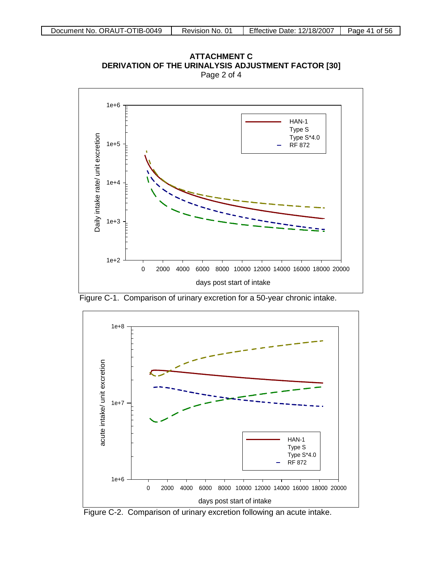

**ATTACHMENT C DERIVATION OF THE URINALYSIS ADJUSTMENT FACTOR [30]** Page 2 of 4

Figure C-1. Comparison of urinary excretion for a 50-year chronic intake.



Figure C-2. Comparison of urinary excretion following an acute intake.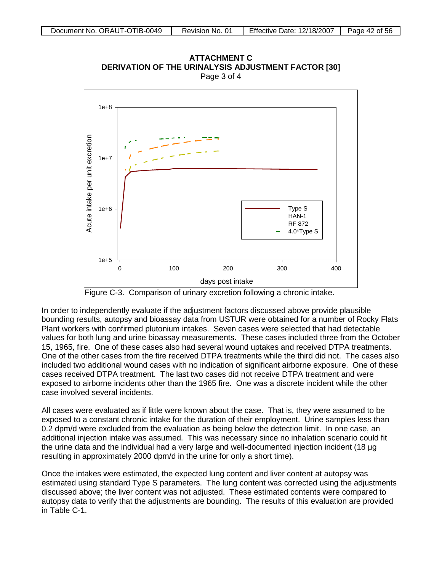

ATTACHMENT C ERIVATION OF THE URINALYSIS ADJUSTMENT FACTOR [3 Page 3 of 4 **ATTACHMENT C<br>[30] DERIVATION OF THE URINALYSIS ADJUSTMENT FACTOR**<br>Page 3 of 4

Figure C-3. Comparison of urinary excretion following a chronic intake.

In order to independently evaluate if the adjustment factors discussed above provide plausible bounding results, autopsy and bioassay data from USTUR were obtained for a number of Rocky Flats Plant workers with confirmed plutonium intakes. Seven cases were selected that had detectable values for both lung and urine bioassay measurements. These cases included three from the October 15, 1965, fire. One of these cases also had several wound uptakes and received DTPA treatments. One of the other cases from the fire received DTPA treatments while the third did not. The cases also included two additional wound cases with no indication of significant airborne exposure. One of these cases received DTPA treatment. The last two cases did not receive DTPA treatment and were exposed to airborne incidents other than the 1965 fire. One was a discrete incident while the other case involved several incidents.

All cases were evaluated as if little were known about the case. That is, they were assumed to be exposed to a constant chronic intake for the duration of their employment. Urine samples less than 0.2 dpm/d were excluded from the evaluation as being below the detection limit. In one case, an additional injection intake was assumed. This was necessary since no inhalation scenario could fit the urine data and the individual had a very large and well-documented injection incident (18 μg resulting in approximately 2000 dpm/d in the urine for only a short time).

Once the intakes were estimated, the expected lung content and liver content at autopsy was estimated using standard Type S parameters. The lung content was corrected using the adjustments discussed above; the liver content was not adjusted. These estimated contents were compared to autopsy data to verify that the adjustments are bounding. The results of this evaluation are provided in Table C-1.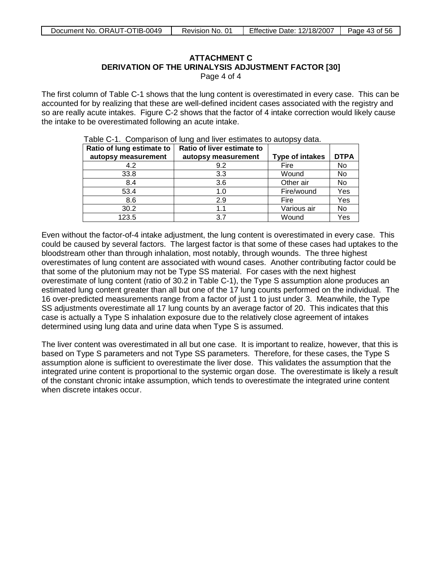# **ATTACHMENT C DERIVATION OF THE URINALYSIS ADJUSTMENT FACTOR [30]**

Page 4 of 4

The first column of Table C-1 shows that the lung content is overestimated in every case. This can be accounted for by realizing that these are well-defined incident cases associated with the registry and so are really acute intakes. Figure C-2 shows that the factor of 4 intake correction would likely cause the intake to be overestimated following an acute intake.

| Ratio of lung estimate to | Ratio of liver estimate to |                        |             |
|---------------------------|----------------------------|------------------------|-------------|
| autopsy measurement       | autopsy measurement        | <b>Type of intakes</b> | <b>DTPA</b> |
| 4.2                       | 9.2                        | Fire                   | <b>No</b>   |
| 33.8                      | 3.3                        | Wound                  | No          |
| 8.4                       | 3.6                        | Other air              | No          |
| 53.4                      | 1.0                        | Fire/wound             | Yes         |
| 8.6                       | 2.9                        | Fire                   | Yes         |
| 30.2                      | 1.1                        | Various air            | No          |
| 123.5                     | 3.7                        | Wound                  | Yes         |

Table C-1. Comparison of lung and liver estimates to autopsy data.

Even without the factor-of-4 intake adjustment, the lung content is overestimated in every case. This could be caused by several factors. The largest factor is that some of these cases had uptakes to the bloodstream other than through inhalation, most notably, through wounds. The three highest overestimates of lung content are associated with wound cases. Another contributing factor could be that some of the plutonium may not be Type SS material. For cases with the next highest overestimate of lung content (ratio of 30.2 in Table C-1), the Type S assumption alone produces an estimated lung content greater than all but one of the 17 lung counts performed on the individual. The 16 over-predicted measurements range from a factor of just 1 to just under 3. Meanwhile, the Type SS adjustments overestimate all 17 lung counts by an average factor of 20. This indicates that this case is actually a Type S inhalation exposure due to the relatively close agreement of intakes determined using lung data and urine data when Type S is assumed.

The liver content was overestimated in all but one case. It is important to realize, however, that this is based on Type S parameters and not Type SS parameters. Therefore, for these cases, the Type S assumption alone is sufficient to overestimate the liver dose. This validates the assumption that the integrated urine content is proportional to the systemic organ dose. The overestimate is likely a result of the constant chronic intake assumption, which tends to overestimate the integrated urine content when discrete intakes occur.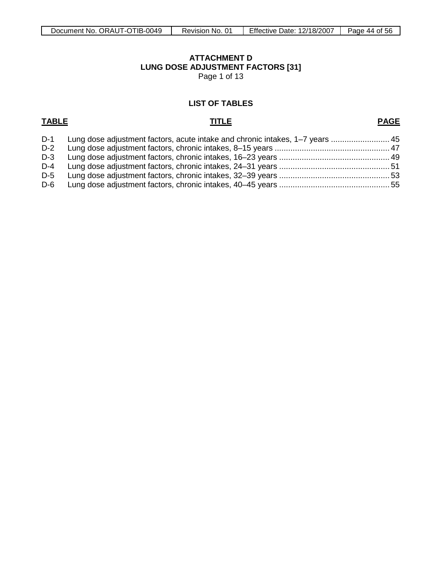<span id="page-43-0"></span>Page 1 of 13

## **LIST OF TABLES**

## **TABLE TITLE**

# **PAGE**

| $D-1$ | Lung dose adjustment factors, acute intake and chronic intakes, 1–7 years  45 |  |
|-------|-------------------------------------------------------------------------------|--|
| $D-2$ |                                                                               |  |
| D-3   |                                                                               |  |
| $D-4$ |                                                                               |  |
| $D-5$ |                                                                               |  |
| D-6   |                                                                               |  |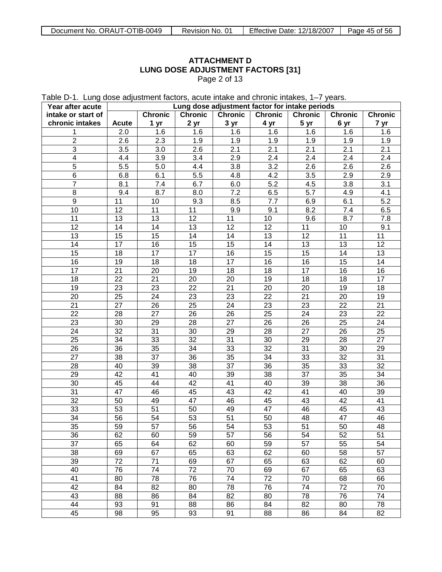Table D-1. Lung dose adjustment factors, acute intake and chronic intakes, 1–7 years.

| Year after acute        | Lung dose adjustment factor for intake periods |                 |                 |                 |                 |                 |                 |                  |
|-------------------------|------------------------------------------------|-----------------|-----------------|-----------------|-----------------|-----------------|-----------------|------------------|
| intake or start of      |                                                | <b>Chronic</b>  | <b>Chronic</b>  | <b>Chronic</b>  | <b>Chronic</b>  | <b>Chronic</b>  | <b>Chronic</b>  | <b>Chronic</b>   |
| chronic intakes         | <b>Acute</b>                                   | 1 yr            | 2 yr            | 3 yr            | 4 yr            | 5 yr            | 6 yr            | 7 yr             |
| 1                       | 2.0                                            | 1.6             | 1.6             | 1.6             | 1.6             | 1.6             | 1.6             | 1.6              |
| $\overline{2}$          | 2.6                                            | 2.3             | 1.9             | 1.9             | 1.9             | 1.9             | 1.9             | 1.9              |
| $\overline{3}$          | 3.5                                            | 3.0             | 2.6             | 2.1             | 2.1             | 2.1             | 2.1             | 2.1              |
| $\overline{\mathbf{4}}$ | 4.4                                            | 3.9             | 3.4             | 2.9             | 2.4             | 2.4             | 2.4             | 2.4              |
| $\overline{5}$          | 5.5                                            | 5.0             | 4.4             | 3.8             | 3.2             | 2.6             | 2.6             | 2.6              |
| $\overline{6}$          | 6.8                                            | 6.1             | 5.5             | 4.8             | 4.2             | 3.5             | 2.9             | 2.9              |
| $\overline{7}$          | 8.1                                            | 7.4             | 6.7             | 6.0             | 5.2             | 4.5             | 3.8             | 3.1              |
| $\overline{8}$          | 9.4                                            | 8.7             | 8.0             | 7.2             | 6.5             | 5.7             | 4.9             | 4.1              |
| $\overline{9}$          | 11                                             | 10              | 9.3             | 8.5             | 7.7             | 6.9             | 6.1             | $\overline{5.2}$ |
| 10                      | $\overline{12}$                                | $\overline{11}$ | 11              | 9.9             | 9.1             | 8.2             | 7.4             | 6.5              |
| 11                      | 13                                             | $\overline{13}$ | $\overline{12}$ | 11              | 10              | 9.6             | 8.7             | 7.8              |
| $\overline{12}$         | $\overline{14}$                                | $\overline{14}$ | $\overline{13}$ | $\overline{12}$ | $\overline{12}$ | 11              | 10              | 9.1              |
| $\overline{13}$         | 15                                             | 15              | 14              | 14              | $\overline{13}$ | $\overline{12}$ | $\overline{11}$ | 11               |
| $\overline{14}$         | $\overline{17}$                                | 16              | 15              | $\overline{15}$ | $\overline{14}$ | $\overline{13}$ | 13              | 12               |
| $\overline{15}$         | 18                                             | $\overline{17}$ | $\overline{17}$ | 16              | 15              | $\overline{15}$ | 14              | 13               |
| 16                      | 19                                             | $\overline{18}$ | 18              | $\overline{17}$ | 16              | 16              | 15              | 14               |
| $\overline{17}$         | $\overline{21}$                                | $\overline{20}$ | 19              | 18              | $\overline{18}$ | $\overline{17}$ | 16              | 16               |
| $\overline{18}$         | $\overline{22}$                                | $\overline{21}$ | $\overline{20}$ | 20              | 19              | $\overline{18}$ | 18              | 17               |
| 19                      | $\overline{23}$                                | $\overline{23}$ | $\overline{22}$ | $\overline{21}$ | $\overline{20}$ | 20              | 19              | 18               |
| $\overline{20}$         | $\overline{25}$                                | $\overline{24}$ | 23              | $\overline{23}$ | $\overline{22}$ | $\overline{21}$ | $\overline{20}$ | 19               |
| $\overline{21}$         | $\overline{27}$                                | $\overline{26}$ | $\overline{25}$ | $\overline{24}$ | $\overline{23}$ | 23              | $\overline{22}$ | 21               |
| $\overline{22}$         | $\overline{28}$                                | $\overline{27}$ | $\overline{26}$ | $\overline{26}$ | $\overline{25}$ | $\overline{24}$ | 23              | 22               |
| $\overline{23}$         | $\overline{30}$                                | $\overline{29}$ | 28              | $\overline{27}$ | $\overline{26}$ | $\overline{26}$ | $\overline{25}$ | 24               |
| $\overline{24}$         | $\overline{32}$                                | $\overline{31}$ | $\overline{30}$ | 29              | $\overline{28}$ | $\overline{27}$ | 26              | 25               |
| $\overline{25}$         | $\overline{34}$                                | 33              | $\overline{32}$ | $\overline{31}$ | $\overline{30}$ | 29              | 28              | 27               |
| $\overline{26}$         | $\overline{36}$                                | 35              | $\overline{34}$ | $\overline{33}$ | $\overline{32}$ | $\overline{31}$ | 30              | 29               |
| $\overline{27}$         | $\overline{38}$                                | $\overline{37}$ | $\overline{36}$ | $\overline{35}$ | $\overline{34}$ | 33              | $\overline{32}$ | $\overline{31}$  |
| 28                      | 40                                             | 39              | 38              | $\overline{37}$ | $\overline{36}$ | $\overline{35}$ | 33              | 32               |
| $\overline{29}$         | $\overline{42}$                                | 41              | 40              | $\overline{39}$ | $\overline{38}$ | $\overline{37}$ | 35              | 34               |
| 30                      | 45                                             | 44              | 42              | $\overline{41}$ | 40              | 39              | 38              | 36               |
| $\overline{31}$         | $\overline{47}$                                | 46              | 45              | 43              | $\overline{42}$ | 41              | 40              | 39               |
| $\overline{32}$         | 50                                             | 49              | $\overline{47}$ | 46              | 45              | 43              | 42              | 41               |
| 33                      | 53                                             | $\overline{51}$ | 50              | 49              | $\overline{47}$ | 46              | 45              | 43               |
| $\overline{34}$         | $\overline{56}$                                | $\overline{54}$ | 53              | 51              | 50              | 48              | $\overline{47}$ | 46               |
| $\overline{35}$         | 59                                             | 57              | 56              | 54              | 53              | 51              | 50              | 48               |
| 36                      | 62                                             | 60              | 59              | 57              | 56              | 54              | 52              | 51               |
| $\overline{37}$         | 65                                             | 64              | 62              | 60              | 59              | $\overline{57}$ | 55              | 54               |
| 38                      | 69                                             | 67              | 65              | 63              | 62              | 60              | 58              | 57               |
| 39                      | $\overline{72}$                                | $\overline{71}$ | 69              | 67              | 65              | 63              | 62              | 60               |
| 40                      | 76                                             | $\overline{74}$ | $\overline{72}$ | $\overline{70}$ | 69              | 67              | 65              | 63               |
| 41                      | 80                                             | 78              | 76              | $\overline{74}$ | $\overline{72}$ | $70\,$          | 68              | 66               |
| $\overline{42}$         | 84                                             | $\overline{82}$ | 80              | 78              | 76              | 74              | $\overline{72}$ | 70               |
| 43                      | 88                                             | 86              | 84              | 82              | 80              | 78              | 76              | 74               |
| $\overline{44}$         | 93                                             | 91              | 88              | 86              | 84              | 82              | 80              | 78               |
| 45                      | $\overline{98}$                                | 95              | 93              | 91              | 88              | 86              | 84              | 82               |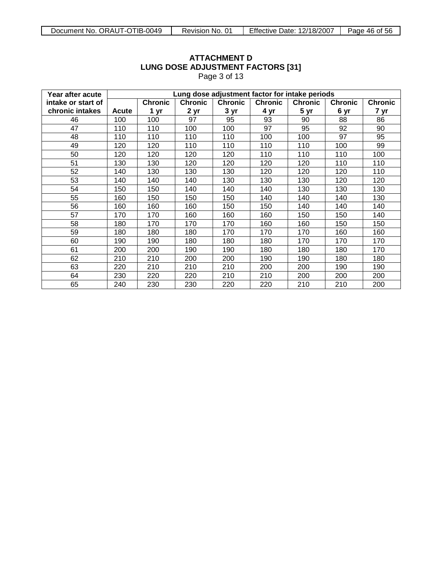| Page 3 01 13       |       |                                                                                                                     |      |      |      |      |      |      |  |  |  |
|--------------------|-------|---------------------------------------------------------------------------------------------------------------------|------|------|------|------|------|------|--|--|--|
| Year after acute   |       | Lung dose adjustment factor for intake periods                                                                      |      |      |      |      |      |      |  |  |  |
| intake or start of |       | <b>Chronic</b><br><b>Chronic</b><br><b>Chronic</b><br>Chronic<br><b>Chronic</b><br><b>Chronic</b><br><b>Chronic</b> |      |      |      |      |      |      |  |  |  |
| chronic intakes    | Acute | 1 yr                                                                                                                | 2 yr | 3 yr | 4 yr | 5 yr | 6 yr | 7 yr |  |  |  |
| 46                 | 100   | 100                                                                                                                 | 97   | 95   | 93   | 90   | 88   | 86   |  |  |  |
| 47                 | 110   | 110                                                                                                                 | 100  | 100  | 97   | 95   | 92   | 90   |  |  |  |
| 48                 | 110   | 110                                                                                                                 | 110  | 110  | 100  | 100  | 97   | 95   |  |  |  |
| 49                 | 120   | 120                                                                                                                 | 110  | 110  | 110  | 110  | 100  | 99   |  |  |  |
| 50                 | 120   | 120                                                                                                                 | 120  | 120  | 110  | 110  | 110  | 100  |  |  |  |
| 51                 | 130   | 130                                                                                                                 | 120  | 120  | 120  | 120  | 110  | 110  |  |  |  |
| 52                 | 140   | 130                                                                                                                 | 130  | 130  | 120  | 120  | 120  | 110  |  |  |  |
| 53                 | 140   | 140                                                                                                                 | 140  | 130  | 130  | 130  | 120  | 120  |  |  |  |
| 54                 | 150   | 150                                                                                                                 | 140  | 140  | 140  | 130  | 130  | 130  |  |  |  |
| 55                 | 160   | 150                                                                                                                 | 150  | 150  | 140  | 140  | 140  | 130  |  |  |  |
| 56                 | 160   | 160                                                                                                                 | 160  | 150  | 150  | 140  | 140  | 140  |  |  |  |
| 57                 | 170   | 170                                                                                                                 | 160  | 160  | 160  | 150  | 150  | 140  |  |  |  |
| 58                 | 180   | 170                                                                                                                 | 170  | 170  | 160  | 160  | 150  | 150  |  |  |  |
| 59                 | 180   | 180                                                                                                                 | 180  | 170  | 170  | 170  | 160  | 160  |  |  |  |
| 60                 | 190   | 190                                                                                                                 | 180  | 180  | 180  | 170  | 170  | 170  |  |  |  |
| 61                 | 200   | 200                                                                                                                 | 190  | 190  | 180  | 180  | 180  | 170  |  |  |  |
| 62                 | 210   | 210                                                                                                                 | 200  | 200  | 190  | 190  | 180  | 180  |  |  |  |
| 63                 | 220   | 210                                                                                                                 | 210  | 210  | 200  | 200  | 190  | 190  |  |  |  |
| 64                 | 230   | 220                                                                                                                 | 220  | 210  | 210  | 200  | 200  | 200  |  |  |  |
| 65                 | 240   | 230                                                                                                                 | 230  | 220  | 220  | 210  | 210  | 200  |  |  |  |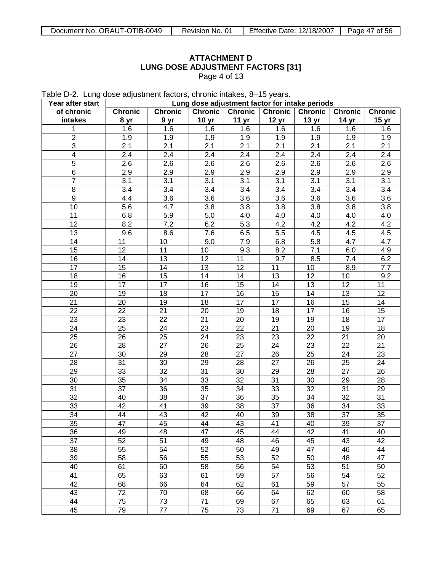Table D-2. Lung dose adjustment factors, chronic intakes, 8–15 years.

| Year after start        | Lung dose adjustment factor for intake periods |                 |                  |                  |                  |                  |                  |                  |  |
|-------------------------|------------------------------------------------|-----------------|------------------|------------------|------------------|------------------|------------------|------------------|--|
| of chronic              | <b>Chronic</b>                                 | <b>Chronic</b>  | <b>Chronic</b>   | <b>Chronic</b>   | <b>Chronic</b>   | Chronic          | <b>Chronic</b>   | <b>Chronic</b>   |  |
| intakes                 | 8 yr                                           | 9 yr            | 10 <sub>yr</sub> | 11 yr            | 12 <sub>yr</sub> | 13 <sub>yr</sub> | 14 yr            | 15 yr            |  |
|                         | 1.6                                            | 1.6             | 1.6              | 1.6              | 1.6              | 1.6              | 1.6              | 1.6              |  |
| $\overline{2}$          | 1.9                                            | 1.9             | 1.9              | 1.9              | 1.9              | 1.9              | 1.9              | 1.9              |  |
| 3                       | 2.1                                            | 2.1             | 2.1              | 2.1              | $\overline{2.1}$ | 2.1              | 2.1              | $\overline{2.1}$ |  |
| $\overline{\mathbf{4}}$ | 2.4                                            | 2.4             | 2.4              | 2.4              | 2.4              | 2.4              | 2.4              | 2.4              |  |
| $\overline{5}$          | 2.6                                            | 2.6             | 2.6              | 2.6              | 2.6              | 2.6              | 2.6              | 2.6              |  |
| 6                       | 2.9                                            | 2.9             | 2.9              | 2.9              | 2.9              | 2.9              | 2.9              | 2.9              |  |
| $\overline{7}$          | 3.1                                            | 3.1             | 3.1              | $\overline{3.1}$ | $\overline{3.1}$ | 3.1              | $\overline{3.1}$ | 3.1              |  |
| 8                       | 3.4                                            | 3.4             | 3.4              | $\overline{3.4}$ | $\overline{3.4}$ | 3.4              | 3.4              | 3.4              |  |
| 9                       | 4.4                                            | 3.6             | 3.6              | 3.6              | 3.6              | 3.6              | 3.6              | 3.6              |  |
| 10                      | 5.6                                            | 4.7             | 3.8              | 3.8              | 3.8              | 3.8              | 3.8              | 3.8              |  |
| 11                      | 6.8                                            | 5.9             | 5.0              | 4.0              | 4.0              | 4.0              | 4.0              | 4.0              |  |
| 12                      | 8.2                                            | 7.2             | 6.2              | 5.3              | 4.2              | 4.2              | 4.2              | 4.2              |  |
| 13                      | 9.6                                            | 8.6             | 7.6              | 6.5              | 5.5              | 4.5              | 4.5              | 4.5              |  |
| 14                      | 11                                             | 10              | 9.0              | 7.9              | 6.8              | 5.8              | 4.7              | 4.7              |  |
| 15                      | 12                                             | 11              | 10               | 9.3              | 8.2              | 7.1              | 6.0              | 4.9              |  |
| 16                      | 14                                             | 13              | 12               | 11               | 9.7              | 8.5              | 7.4              | 6.2              |  |
| 17                      | 15                                             | 14              | 13               | 12               | 11               | 10               | 8.9              | 7.7              |  |
| 18                      | 16                                             | 15              | 14               | 14               | 13               | 12               | 10               | 9.2              |  |
|                         |                                                |                 |                  |                  |                  |                  | $\overline{12}$  |                  |  |
| 19                      | 17                                             | 17              | 16               | 15               | 14               | 13               |                  | 11               |  |
| 20                      | 19                                             | 18              | 17               | 16               | 15               | 14               | 13               | 12               |  |
| 21                      | 20                                             | 19              | 18               | 17               | 17               | 16               | 15               | 14               |  |
| 22                      | 22                                             | 21              | 20               | 19               | 18               | 17               | 16               | 15               |  |
| 23                      | 23                                             | 22              | $\overline{21}$  | 20               | 19               | 19               | 18               | 17               |  |
| 24                      | 25                                             | 24              | 23               | $\overline{22}$  | 21               | 20               | 19               | 18               |  |
| 25                      | 26                                             | 25              | 24               | 23               | 23               | 22               | 21               | 20               |  |
| 26                      | 28                                             | 27              | 26               | 25               | 24               | 23               | $\overline{22}$  | 21               |  |
| 27                      | 30                                             | 29              | 28               | 27               | 26               | 25               | $\overline{24}$  | 23               |  |
| 28                      | 31                                             | 30              | 29               | 28               | 27               | 26               | 25               | 24               |  |
| 29                      | 33                                             | 32              | 31               | 30               | 29               | 28               | 27               | 26               |  |
| 30                      | 35                                             | 34              | 33               | 32               | 31               | 30               | 29               | 28               |  |
| 31                      | 37                                             | 36              | 35               | 34               | 33               | 32               | 31               | 29               |  |
| 32                      | 40                                             | 38              | 37               | 36               | 35               | 34               | $\overline{32}$  | 31               |  |
| 33                      | 42                                             | 41              | 39               | 38               | 37               | 36               | 34               | 33               |  |
| 34                      | 44                                             | 43              | 42               | 40               | 39               | 38               | 37               | 35               |  |
| $\overline{35}$         | 47                                             | 45              | $\overline{44}$  | 43               | 41               | 40               | 39               | $\overline{37}$  |  |
| 36                      | 49                                             | 48              | 47               | 45               | 44               | 42               | 41               | 40               |  |
| 37                      | 52                                             | 51              | 49               | 48               | 46               | 45               | 43               | 42               |  |
| 38                      | 55                                             | 54              | 52               | 50               | 49               | 47               | 46               | 44               |  |
| 39                      | 58                                             | 56              | 55               | 53               | 52               | 50               | 48               | 47               |  |
| 40                      | 61                                             | 60              | 58               | 56               | 54               | 53               | 51               | 50               |  |
| 41                      | 65                                             | 63              | 61               | 59               | 57               | 56               | 54               | 52               |  |
| 42                      | 68                                             | 66              | 64               | 62               | 61               | 59               | 57               | 55               |  |
| 43                      | 72                                             | $\overline{70}$ | 68               | 66               | 64               | 62               | 60               | 58               |  |
| 44                      | 75                                             | $\overline{73}$ | $\overline{71}$  | 69               | 67               | 65               | 63               | 61               |  |
| 45                      | 79                                             | 77              | 75               | 73               | 71               | 69               | 67               | 65               |  |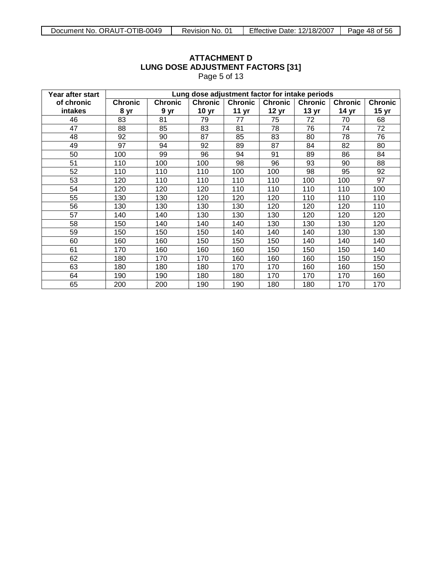|                  |                |                                                                                                                            | $1$ uyu u u $10$ |                  |                  |                  |                  |                  |  |  |
|------------------|----------------|----------------------------------------------------------------------------------------------------------------------------|------------------|------------------|------------------|------------------|------------------|------------------|--|--|
| Year after start |                | Lung dose adjustment factor for intake periods                                                                             |                  |                  |                  |                  |                  |                  |  |  |
| of chronic       | <b>Chronic</b> | <b>Chronic</b><br><b>Chronic</b><br><b>Chronic</b><br><b>Chronic</b><br><b>Chronic</b><br><b>Chronic</b><br><b>Chronic</b> |                  |                  |                  |                  |                  |                  |  |  |
| intakes          | 8 yr           | 9 yr                                                                                                                       | 10 <sub>yr</sub> | 11 <sub>yr</sub> | 12 <sub>yr</sub> | 13 <sub>yr</sub> | 14 <sub>yr</sub> | 15 <sub>yr</sub> |  |  |
| 46               | 83             | 81                                                                                                                         | 79               | 77               | 75               | 72               | 70               | 68               |  |  |
| 47               | 88             | 85                                                                                                                         | 83               | 81               | 78               | 76               | 74               | 72               |  |  |
| 48               | 92             | 90                                                                                                                         | 87               | 85               | 83               | 80               | 78               | 76               |  |  |
| 49               | 97             | 94                                                                                                                         | 92               | 89               | 87               | 84               | 82               | 80               |  |  |
| 50               | 100            | 99                                                                                                                         | 96               | 94               | 91               | 89               | 86               | 84               |  |  |
| 51               | 110            | 100                                                                                                                        | 100              | 98               | 96               | 93               | 90               | 88               |  |  |
| 52               | 110            | 110                                                                                                                        | 110              | 100              | 100              | 98               | 95               | 92               |  |  |
| 53               | 120            | 110                                                                                                                        | 110              | 110              | 110              | 100              | 100              | 97               |  |  |
| 54               | 120            | 120                                                                                                                        | 120              | 110              | 110              | 110              | 110              | 100              |  |  |
| 55               | 130            | 130                                                                                                                        | 120              | 120              | 120              | 110              | 110              | 110              |  |  |
| 56               | 130            | 130                                                                                                                        | 130              | 130              | 120              | 120              | 120              | 110              |  |  |
| 57               | 140            | 140                                                                                                                        | 130              | 130              | 130              | 120              | 120              | 120              |  |  |
| 58               | 150            | 140                                                                                                                        | 140              | 140              | 130              | 130              | 130              | 120              |  |  |
| 59               | 150            | 150                                                                                                                        | 150              | 140              | 140              | 140              | 130              | 130              |  |  |
| 60               | 160            | 160                                                                                                                        | 150              | 150              | 150              | 140              | 140              | 140              |  |  |
| 61               | 170            | 160                                                                                                                        | 160              | 160              | 150              | 150              | 150              | 140              |  |  |
| 62               | 180            | 170                                                                                                                        | 170              | 160              | 160              | 160              | 150              | 150              |  |  |
| 63               | 180            | 180                                                                                                                        | 180              | 170              | 170              | 160              | 160              | 150              |  |  |
| 64               | 190            | 190                                                                                                                        | 180              | 180              | 170              | 170              | 170              | 160              |  |  |
| 65               | 200            | 200                                                                                                                        | 190              | 190              | 180              | 180              | 170              | 170              |  |  |

Page 5 of 13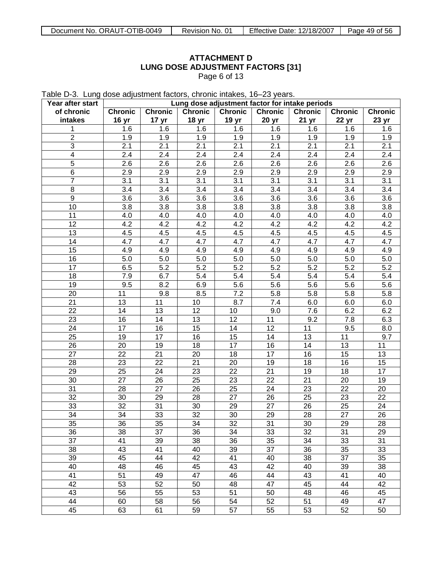Table D-3. Lung dose adjustment factors, chronic intakes, 16–23 years.

| Year after start | Lung dose adjustment factor for intake periods |                  |                  |                  |                  |                  |                  |                  |  |
|------------------|------------------------------------------------|------------------|------------------|------------------|------------------|------------------|------------------|------------------|--|
| of chronic       | <b>Chronic</b>                                 | <b>Chronic</b>   | <b>Chronic</b>   | <b>Chronic</b>   | <b>Chronic</b>   | <b>Chronic</b>   | <b>Chronic</b>   | <b>Chronic</b>   |  |
| intakes          | 16 <sub>yr</sub>                               | 17 <sub>yr</sub> | 18 <sub>yr</sub> | 19 yr            | 20 yr            | 21 <sub>yr</sub> | 22 yr            | 23 yr            |  |
| 1                | 1.6                                            | 1.6              | 1.6              | 1.6              | 1.6              | 1.6              | 1.6              | 1.6              |  |
| $\overline{2}$   | 1.9                                            | 1.9              | 1.9              | 1.9              | 1.9              | 1.9              | 1.9              | 1.9              |  |
| $\overline{3}$   | 2.1                                            | 2.1              | 2.1              | $\overline{2.1}$ | $\overline{2.1}$ | $\overline{2.1}$ | 2.1              | 2.1              |  |
| $\overline{4}$   | $\overline{2.4}$                               | $\overline{2.4}$ | 2.4              | $\overline{2.4}$ | 2.4              | $\overline{2.4}$ | $\overline{2.4}$ | $\overline{2.4}$ |  |
| $\overline{5}$   | $\overline{2.6}$                               | 2.6              | $\overline{2.6}$ | 2.6              | $\overline{2.6}$ | $\overline{2.6}$ | $\overline{2.6}$ | $\overline{2.6}$ |  |
| $\overline{6}$   | $\overline{2.9}$                               | 2.9              | $\overline{2.9}$ | $\overline{2.9}$ | $\overline{2.9}$ | $\overline{2.9}$ | $\overline{2.9}$ | $\overline{2.9}$ |  |
| $\overline{7}$   | $\overline{3.1}$                               | $\overline{3.1}$ | $\overline{3.1}$ | $\overline{3.1}$ | $\overline{3.1}$ | $\overline{3.1}$ | $\overline{3.1}$ | $\overline{3.1}$ |  |
| 8                | $\overline{3.4}$                               | $\overline{3.4}$ | $\overline{3.4}$ | 3.4              | $\overline{3.4}$ | $\overline{3.4}$ | $\overline{3.4}$ | $\overline{3.4}$ |  |
| $\overline{9}$   | $\overline{3.6}$                               | $\overline{3.6}$ | $\overline{3.6}$ | 3.6              | $\overline{3.6}$ | $\overline{3.6}$ | 3.6              | $\overline{3.6}$ |  |
| $\overline{10}$  | $\overline{3.8}$                               | $\overline{3.8}$ | 3.8              | 3.8              | 3.8              | $\overline{3.8}$ | 3.8              | $\overline{3.8}$ |  |
| 11               | 4.0                                            | 4.0              | 4.0              | 4.0              | 4.0              | 4.0              | 4.0              | 4.0              |  |
| $\overline{12}$  | 4.2                                            | 4.2              | 4.2              | $\overline{4.2}$ | 4.2              | 4.2              | $\overline{4.2}$ | 4.2              |  |
| $\overline{13}$  | 4.5                                            | 4.5              | 4.5              | 4.5              | 4.5              | 4.5              | 4.5              | 4.5              |  |
| 14               | $\overline{4.7}$                               | 4.7              | $\overline{4.7}$ | $\overline{4.7}$ | $\overline{4.7}$ | 4.7              | 4.7              | 4.7              |  |
| $\overline{15}$  |                                                | 4.9              | 4.9              |                  |                  |                  |                  |                  |  |
|                  | 4.9                                            |                  |                  | 4.9              | 4.9              | 4.9              | 4.9              | 4.9              |  |
| $\overline{16}$  | $\overline{5.0}$                               | $\overline{5.0}$ | 5.0              | 5.0              | 5.0              | 5.0              | $\overline{5.0}$ | 5.0              |  |
| $\overline{17}$  | 6.5                                            | $\overline{5.2}$ | $\overline{5.2}$ | $\overline{5.2}$ | $\overline{5.2}$ | $\overline{5.2}$ | $\overline{5.2}$ | $\overline{5.2}$ |  |
| 18               | $\overline{7.9}$                               | 6.7              | $\overline{5.4}$ | 5.4              | $\overline{5.4}$ | $\overline{5.4}$ | $\overline{5.4}$ | $\overline{5.4}$ |  |
| $\overline{19}$  | 9.5                                            | 8.2              | 6.9              | 5.6              | $\overline{5.6}$ | $\overline{5.6}$ | $\overline{5.6}$ | $\overline{5.6}$ |  |
| 20               | 11                                             | 9.8              | 8.5              | $\overline{7.2}$ | 5.8              | 5.8              | $\overline{5.8}$ | 5.8              |  |
| $\overline{21}$  | $\overline{13}$                                | 11               | 10               | $\overline{8.7}$ | 7.4              | 6.0              | 6.0              | 6.0              |  |
| $\overline{22}$  | $\overline{14}$                                | $\overline{13}$  | $\overline{12}$  | 10               | 9.0              | 7.6              | 6.2              | 6.2              |  |
| $\overline{23}$  | $\overline{16}$                                | $\overline{14}$  | 13               | $\overline{12}$  | $\overline{11}$  | $\overline{9.2}$ | $\overline{7.8}$ | 6.3              |  |
| 24               | $\overline{17}$                                | $\overline{16}$  | 15               | $\overline{14}$  | $\overline{12}$  | $\overline{11}$  | $\overline{9.5}$ | $\overline{8.0}$ |  |
| $\overline{25}$  | $\overline{19}$                                | $\overline{17}$  | 16               | $\overline{15}$  | $\overline{14}$  | $\overline{13}$  | $\overline{11}$  | $\overline{9.7}$ |  |
| 26               | 20                                             | $\overline{19}$  | 18               | $\overline{17}$  | $\overline{16}$  | $\overline{14}$  | $\overline{13}$  | 11               |  |
| $\overline{27}$  | $\overline{22}$                                | $\overline{21}$  | 20               | 18               | 17               | $\overline{16}$  | $\overline{15}$  | $\overline{13}$  |  |
| 28               | $\overline{23}$                                | $\overline{22}$  | $\overline{21}$  | $\overline{20}$  | $\overline{19}$  | 18               | $\overline{16}$  | 15               |  |
| $\overline{29}$  | $\overline{25}$                                | $\overline{24}$  | 23               | $\overline{22}$  | $\overline{21}$  | $\overline{19}$  | $\overline{18}$  | $\overline{17}$  |  |
| 30               | $\overline{27}$                                | 26               | 25               | $\overline{23}$  | $\overline{22}$  | $\overline{21}$  | $\overline{20}$  | $\overline{19}$  |  |
| $\overline{31}$  | $\overline{28}$                                | $\overline{27}$  | 26               | $\overline{25}$  | $\overline{24}$  | $\overline{23}$  | $\overline{22}$  | 20               |  |
| $\overline{32}$  | $\overline{30}$                                | $\overline{29}$  | 28               | $\overline{27}$  | 26               | $\overline{25}$  | $\overline{23}$  | $\overline{22}$  |  |
| 33               | $\overline{32}$                                | $\overline{31}$  | 30               | 29               | $\overline{27}$  | 26               | $\overline{25}$  | 24               |  |
| $\overline{34}$  | $\overline{34}$                                | 33               | $\overline{32}$  | $\overline{30}$  | 29               | 28               | $\overline{27}$  | 26               |  |
| 35               | 36                                             | 35               | 34               | $\overline{32}$  | 31               | 30 <sup>2</sup>  | 29               | $\overline{28}$  |  |
| 36               | 38                                             | 37               | 36               | 34               | 33               | 32               | 31               | 29               |  |
| $\overline{37}$  | 41                                             | 39               | 38               | 36               | $\overline{35}$  | 34               | 33               | 31               |  |
| 38               | 43                                             | 41               | 40               | 39               | $\overline{37}$  | 36               | 35               | 33               |  |
| 39               | 45                                             | 44               | 42               | 41               | 40               | 38               | $\overline{37}$  | 35               |  |
| 40               | 48                                             | 46               | 45               | 43               | $\overline{42}$  | 40               | 39               | 38               |  |
| 41               | 51                                             | 49               | 47               | 46               | 44               | 43               | 41               | 40               |  |
| 42               | 53                                             | 52               | 50               | 48               | $\overline{47}$  | 45               | 44               | 42               |  |
| 43               | 56                                             | 55               | 53               | $\overline{51}$  | 50               | 48               | 46               | 45               |  |
| 44               | 60                                             | 58               | 56               | 54               | 52               | 51               | 49               | 47               |  |
| 45               | 63                                             | 61               | 59               | $\overline{57}$  | 55               | 53               | 52               | 50               |  |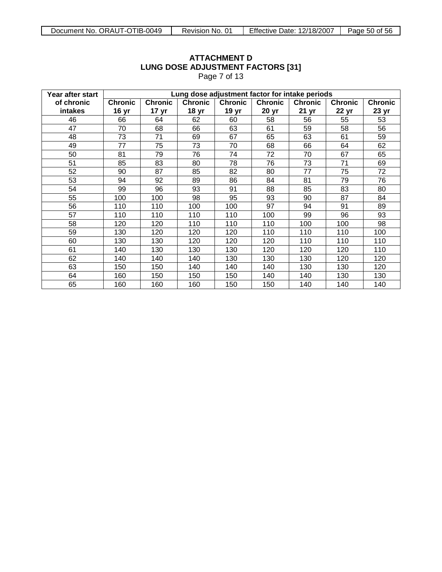|                              |                                                |                                    |                                    | $1$ ayd $1$ OI $1$ O               |                         |                                    |                         |                         |  |  |
|------------------------------|------------------------------------------------|------------------------------------|------------------------------------|------------------------------------|-------------------------|------------------------------------|-------------------------|-------------------------|--|--|
| Year after start             | Lung dose adjustment factor for intake periods |                                    |                                    |                                    |                         |                                    |                         |                         |  |  |
| of chronic<br><b>intakes</b> | <b>Chronic</b><br>16 <sub>yr</sub>             | <b>Chronic</b><br>17 <sub>yr</sub> | <b>Chronic</b><br>18 <sub>yr</sub> | <b>Chronic</b><br>19 <sub>yr</sub> | <b>Chronic</b><br>20 yr | <b>Chronic</b><br>21 <sub>yr</sub> | <b>Chronic</b><br>22 yr | <b>Chronic</b><br>23 yr |  |  |
| 46                           | 66                                             | 64                                 | 62                                 | 60                                 | 58                      | 56                                 | 55                      | 53                      |  |  |
| 47                           | 70                                             | 68                                 | 66                                 | 63                                 | 61                      | 59                                 | 58                      | 56                      |  |  |
| 48                           | 73                                             | 71                                 | 69                                 | 67                                 | 65                      | 63                                 | 61                      | 59                      |  |  |
| 49                           | 77                                             | 75                                 | 73                                 | 70                                 | 68                      | 66                                 | 64                      | 62                      |  |  |
| 50                           | 81                                             | 79                                 | 76                                 | 74                                 | 72                      | 70                                 | 67                      | 65                      |  |  |
| 51                           | 85                                             | 83                                 | 80                                 | 78                                 | 76                      | 73                                 | 71                      | 69                      |  |  |
| 52                           | 90                                             | 87                                 | 85                                 | 82                                 | 80                      | 77                                 | 75                      | 72                      |  |  |
| 53                           | 94                                             | 92                                 | 89                                 | 86                                 | 84                      | 81                                 | 79                      | 76                      |  |  |
| 54                           | 99                                             | 96                                 | 93                                 | 91                                 | 88                      | 85                                 | 83                      | 80                      |  |  |
| 55                           | 100                                            | 100                                | 98                                 | 95                                 | 93                      | 90                                 | 87                      | 84                      |  |  |
| 56                           | 110                                            | 110                                | 100                                | 100                                | 97                      | 94                                 | 91                      | 89                      |  |  |
| 57                           | 110                                            | 110                                | 110                                | 110                                | 100                     | 99                                 | 96                      | 93                      |  |  |
| 58                           | 120                                            | 120                                | 110                                | 110                                | 110                     | 100                                | 100                     | 98                      |  |  |
| 59                           | 130                                            | 120                                | 120                                | 120                                | 110                     | 110                                | 110                     | 100                     |  |  |
| 60                           | 130                                            | 130                                | 120                                | 120                                | 120                     | 110                                | 110                     | 110                     |  |  |
| 61                           | 140                                            | 130                                | 130                                | 130                                | 120                     | 120                                | 120                     | 110                     |  |  |
| 62                           | 140                                            | 140                                | 140                                | 130                                | 130                     | 130                                | 120                     | 120                     |  |  |
| 63                           | 150                                            | 150                                | 140                                | 140                                | 140                     | 130                                | 130                     | 120                     |  |  |
| 64                           | 160                                            | 150                                | 150                                | 150                                | 140                     | 140                                | 130                     | 130                     |  |  |
| 65                           | 160                                            | 160                                | 160                                | 150                                | 150                     | 140                                | 140                     | 140                     |  |  |

Page 7 of 13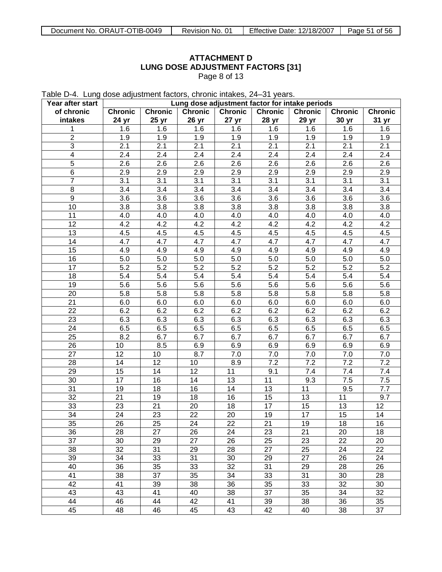Table D-4. Lung dose adjustment factors, chronic intakes, 24–31 years.

| Year after start        | Lung dose adjustment factor for intake periods |                  |                  |                 |                 |                 |                  |                  |
|-------------------------|------------------------------------------------|------------------|------------------|-----------------|-----------------|-----------------|------------------|------------------|
| of chronic              | <b>Chronic</b>                                 | <b>Chronic</b>   | <b>Chronic</b>   | <b>Chronic</b>  | <b>Chronic</b>  | <b>Chronic</b>  | <b>Chronic</b>   | <b>Chronic</b>   |
| intakes                 | 24 yr                                          | 25 yr            | 26 <sub>yr</sub> | 27 yr           | 28 yr           | 29 yr           | 30 yr            | 31 yr            |
| 1                       | 1.6                                            | 1.6              | 1.6              | 1.6             | 1.6             | 1.6             | 1.6              | 1.6              |
| $\overline{2}$          | 1.9                                            | 1.9              | 1.9              | 1.9             | 1.9             | 1.9             | 1.9              | 1.9              |
| $\overline{3}$          | 2.1                                            | 2.1              | 2.1              | 2.1             | 2.1             | 2.1             | 2.1              | 2.1              |
| $\overline{\mathbf{4}}$ | 2.4                                            | 2.4              | 2.4              | 2.4             | 2.4             | 2.4             | 2.4              | 2.4              |
| $\overline{5}$          | $\overline{2.6}$                               | $\overline{2.6}$ | 2.6              | 2.6             | 2.6             | 2.6             | $\overline{2.6}$ | $\overline{2.6}$ |
| 6                       | 2.9                                            | 2.9              | 2.9              | 2.9             | 2.9             | 2.9             | 2.9              | 2.9              |
| $\overline{7}$          | 3.1                                            | 3.1              | 3.1              | 3.1             | 3.1             | 3.1             | 3.1              | 3.1              |
| $\overline{8}$          | 3.4                                            | 3.4              | 3.4              | 3.4             | 3.4             | 3.4             | 3.4              | 3.4              |
| $\overline{9}$          | 3.6                                            | 3.6              | 3.6              | 3.6             | 3.6             | 3.6             | 3.6              | $\overline{3.6}$ |
| 10                      | 3.8                                            | 3.8              | 3.8              | 3.8             | 3.8             | 3.8             | 3.8              | 3.8              |
| 11                      | 4.0                                            | 4.0              | 4.0              | 4.0             | 4.0             | 4.0             | 4.0              | 4.0              |
| $\overline{12}$         | 4.2                                            | 4.2              | 4.2              | 4.2             | 4.2             | 4.2             | 4.2              | 4.2              |
| 13                      | 4.5                                            | 4.5              | 4.5              | 4.5             | 4.5             | 4.5             | 4.5              | 4.5              |
| 14                      | 4.7                                            | 4.7              | 4.7              | 4.7             | 4.7             | 4.7             | 4.7              | 4.7              |
| $\overline{15}$         | 4.9                                            | 4.9              | 4.9              | 4.9             | 4.9             | 4.9             | 4.9              | 4.9              |
| 16                      | 5.0                                            | 5.0              | 5.0              | 5.0             | 5.0             | 5.0             | 5.0              | 5.0              |
| $\overline{17}$         | $\overline{5.2}$                               | $\overline{5.2}$ | 5.2              | 5.2             | 5.2             | 5.2             | $\overline{5.2}$ | 5.2              |
| 18                      | 5.4                                            | 5.4              | 5.4              | 5.4             | 5.4             | 5.4             | 5.4              | 5.4              |
| 19                      | 5.6                                            | 5.6              | 5.6              | 5.6             | 5.6             | 5.6             | 5.6              | 5.6              |
| 20                      | 5.8                                            | 5.8              | 5.8              | 5.8             | 5.8             | 5.8             | 5.8              | 5.8              |
| 21                      | 6.0                                            | 6.0              | 6.0              | 6.0             | 6.0             | 6.0             | 6.0              | 6.0              |
| 22                      | 6.2                                            | 6.2              | 6.2              | 6.2             | 6.2             | 6.2             | 6.2              | 6.2              |
| $\overline{23}$         | 6.3                                            | 6.3              | 6.3              | 6.3             | 6.3             | 6.3             | 6.3              | 6.3              |
| 24                      | 6.5                                            | 6.5              | 6.5              | 6.5             | 6.5             | 6.5             | 6.5              | 6.5              |
| $\overline{25}$         | 8.2                                            | 6.7              | 6.7              | 6.7             | 6.7             | 6.7             | 6.7              | 6.7              |
| 26                      | 10                                             | 8.5              | 6.9              | 6.9             | 6.9             | 6.9             | 6.9              | 6.9              |
| $\overline{27}$         | 12                                             | 10               | 8.7              | 7.0             | 7.0             | 7.0             | 7.0              | 7.0              |
| 28                      | 14                                             | 12               | 10               | 8.9             | 7.2             | 7.2             | 7.2              | 7.2              |
| $\overline{29}$         | $\overline{15}$                                | 14               | $\overline{12}$  | 11              | 9.1             | 7.4             | 7.4              | $\overline{7.4}$ |
| 30                      | 17                                             | 16               | 14               | 13              | 11              | 9.3             | 7.5              | $\overline{7.5}$ |
| 31                      | 19                                             | 18               | 16               | 14              | 13              | 11              | 9.5              | 7.7              |
| $\overline{32}$         | 21                                             | 19               | 18               | 16              | $\overline{15}$ | $\overline{13}$ | 11               | 9.7              |
| 33                      | 23                                             | 21               | 20               | 18              | 17              | $\overline{15}$ | 13               | 12               |
| 34                      | 24                                             | 23               | $\overline{22}$  | 20              | 19              | $\overline{17}$ | 15               | 14               |
| $\overline{35}$         | 26                                             | 25               | $\overline{24}$  | $\overline{22}$ | $\overline{21}$ | 19              | 18               | 16               |
| 36                      | 28                                             | 27               | 26               | 24              | 23              | 21              | 20               | 18               |
| 37                      | 30                                             | 29               | 27               | 26              | 25              | 23              | 22               | 20               |
| 38                      | 32                                             | 31               | 29               | 28              | 27              | 25              | 24               | 22               |
| 39                      | 34                                             | 33               | 31               | 30              | 29              | 27              | 26               | 24               |
| 40                      | 36                                             | 35               | 33               | 32              | 31              | 29              | 28               | 26               |
| 41                      | 38                                             | 37               | 35               | 34              | 33              | 31              | 30               | 28               |
| 42                      | 41                                             | 39               | 38               | 36              | 35              | 33              | 32               | 30               |
| 43                      | 43                                             | 41               | 40               | 38              | 37              | 35              | 34               | 32               |
| 44                      | 46                                             | 44               | 42               | 41              | 39              | 38              | 36               | 35               |
| 45                      | 48                                             | 46               | 45               | 43              | 42              | 40              | 38               | 37               |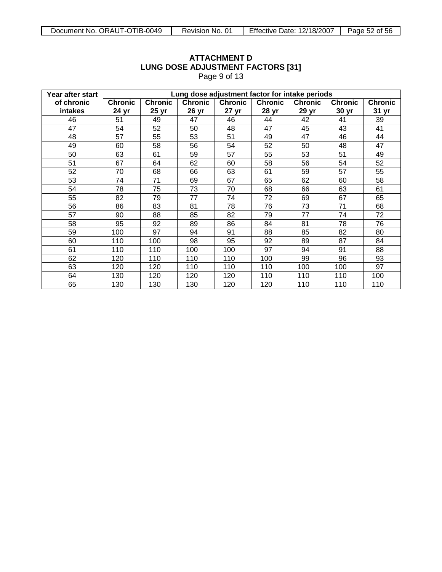#### **Year after start of chronic intakes Lung dose adjustment factor for intake periods Chronic 24 yr Chronic 25 yr Chronic 26 yr Chronic 27 yr Chronic 28 yr Chronic 29 yr Chronic 30 yr Chronic 31 yr** 46 51 49 47 46 44 42 41 39 47 | 54 | 52 | 50 | 48 | 47 | 45 | 43 | 41 48 | 57 | 55 | 53 | 51 | 49 | 47 | 46 | 44 49 | 60 | 58 | 56 | 54 | 52 | 50 | 48 | 47 50 | 63 | 61 | 59 | 57 | 55 | 53 | 51 | 49 51 | 67 | 64 | 62 | 60 | 58 | 56 | 54 | 52 52 70 68 66 63 61 59 57 55 53 74 71 69 67 65 62 60 58 54 | 78 | 75 | 73 | 70 | 68 | 66 | 63 | 61 55 82 79 77 74 72 69 67 65 56 86 83 81 78 76 73 71 68 57 90 88 85 82 79 77 74 72 58 95 92 89 86 84 81 78 76 59 | 100 | 97 | 94 | 91 | 88 | 85 | 82 | 80 60 110 100 98 95 92 89 87 84 61 110 110 100 100 97 94 91 88 62 | 120 | 110 | 110 | 110 | 100 | 99 | 96 | 93 63 | 120 | 120 | 110 | 110 | 110 | 100 | 100 | 97 64 | 130 | 120 | 120 | 120 | 110 | 110 | 100 | 65 | 130 | 130 | 130 | 120 | 120 | 110 | 110 | 110

# **ATTACHMENT D LUNG DOSE ADJUSTMENT FACTORS [31]**

Page 9 of 13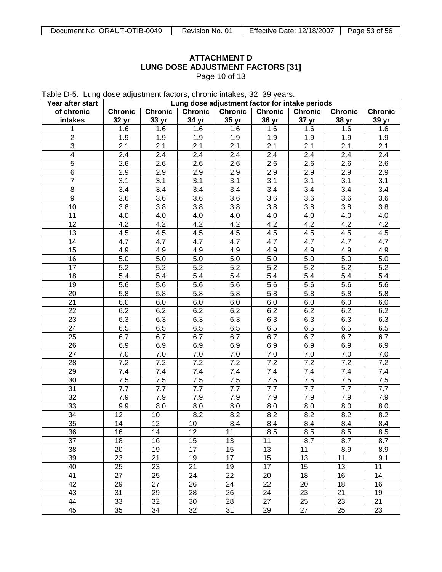Page 10 of 13

Table D-5. Lung dose adjustment factors, chronic intakes, 32–39 years.

| Year after start | Lung dose adjustment factor for intake periods |                 |                |                |                |                |                |                |
|------------------|------------------------------------------------|-----------------|----------------|----------------|----------------|----------------|----------------|----------------|
| of chronic       | <b>Chronic</b>                                 | Chronic         | <b>Chronic</b> | <b>Chronic</b> | <b>Chronic</b> | <b>Chronic</b> | <b>Chronic</b> | <b>Chronic</b> |
| intakes          | 32 yr                                          | 33 yr           | 34 yr          | 35 yr          | 36 yr          | 37 yr          | 38 yr          | 39 yr          |
| 1                | 1.6                                            | 1.6             | 1.6            | 1.6            | 1.6            | 1.6            | 1.6            | 1.6            |
| $\overline{2}$   | 1.9                                            | 1.9             | 1.9            | 1.9            | 1.9            | 1.9            | 1.9            | 1.9            |
| 3                | 2.1                                            | 2.1             | 2.1            | 2.1            | 2.1            | 2.1            | 2.1            | 2.1            |
| 4                | 2.4                                            | 2.4             | 2.4            | 2.4            | 2.4            | 2.4            | 2.4            | 2.4            |
| 5                | 2.6                                            | 2.6             | 2.6            | 2.6            | 2.6            | 2.6            | 2.6            | 2.6            |
| 6                | 2.9                                            | 2.9             | 2.9            | 2.9            | 2.9            | 2.9            | 2.9            | 2.9            |
| 7                | 3.1                                            | 3.1             | 3.1            | 3.1            | 3.1            | 3.1            | 3.1            | 3.1            |
| 8                | 3.4                                            | 3.4             | 3.4            | 3.4            | 3.4            | 3.4            | 3.4            | 3.4            |
| $\boldsymbol{9}$ | 3.6                                            | 3.6             | 3.6            | 3.6            | 3.6            | 3.6            | 3.6            | 3.6            |
| 10               | 3.8                                            | 3.8             | 3.8            | 3.8            | 3.8            | 3.8            | 3.8            | 3.8            |
| 11               | 4.0                                            | 4.0             | 4.0            | 4.0            | 4.0            | 4.0            | 4.0            | 4.0            |
| 12               | 4.2                                            | 4.2             | 4.2            | 4.2            | 4.2            | 4.2            | 4.2            | 4.2            |
| 13               | 4.5                                            | 4.5             | 4.5            | 4.5            | 4.5            | 4.5            | 4.5            | 4.5            |
| 14               | 4.7                                            | 4.7             | 4.7            | 4.7            | 4.7            | 4.7            | 4.7            | 4.7            |
| 15               | 4.9                                            | 4.9             | 4.9            | 4.9            | 4.9            | 4.9            | 4.9            | 4.9            |
| 16               | 5.0                                            | 5.0             | 5.0            | 5.0            | 5.0            | 5.0            | 5.0            | 5.0            |
| 17               | 5.2                                            | 5.2             | 5.2            | 5.2            | 5.2            | 5.2            | 5.2            | 5.2            |
| 18               | 5.4                                            | 5.4             | 5.4            | 5.4            | 5.4            | 5.4            | 5.4            | 5.4            |
| 19               |                                                | 5.6             |                |                |                | 5.6            |                |                |
|                  | 5.6                                            |                 | 5.6            | 5.6            | 5.6            |                | 5.6            | 5.6            |
| 20               | 5.8                                            | 5.8             | 5.8            | 5.8            | 5.8            | 5.8            | 5.8            | 5.8            |
| 21               | 6.0                                            | 6.0             | 6.0            | 6.0            | 6.0            | 6.0            | 6.0            | 6.0            |
| 22               | 6.2                                            | 6.2             | 6.2            | 6.2            | 6.2            | 6.2            | 6.2            | 6.2            |
| 23               | 6.3                                            | 6.3             | 6.3            | 6.3            | 6.3            | 6.3            | 6.3            | 6.3            |
| 24               | 6.5                                            | 6.5             | 6.5            | 6.5            | 6.5            | 6.5            | 6.5            | 6.5            |
| 25               | 6.7                                            | 6.7             | 6.7            | 6.7            | 6.7            | 6.7            | 6.7            | 6.7            |
| 26               | 6.9                                            | 6.9             | 6.9            | 6.9            | 6.9            | 6.9            | 6.9            | 6.9            |
| 27               | 7.0                                            | 7.0             | 7.0            | 7.0            | 7.0            | 7.0            | 7.0            | 7.0            |
| 28               | 7.2                                            | 7.2             | 7.2            | 7.2            | 7.2            | 7.2            | 7.2            | 7.2            |
| 29               | 7.4                                            | 7.4             | 7.4            | 7.4            | 7.4            | 7.4            | 7.4            | 7.4            |
| 30               | 7.5                                            | 7.5             | 7.5            | 7.5            | 7.5            | 7.5            | 7.5            | 7.5            |
| 31               | 7.7                                            | 7.7             | 7.7            | 7.7            | 7.7            | 7.7            | 7.7            | 7.7            |
| 32               | 7.9                                            | 7.9             | 7.9            | 7.9            | 7.9            | 7.9            | 7.9            | 7.9            |
| 33               | 9.9                                            | 8.0             | 8.0            | 8.0            | 8.0            | 8.0            | 8.0            | 8.0            |
| 34               | 12                                             | 10              | 8.2            | 8.2            | 8.2            | 8.2            | 8.2            | 8.2            |
| $\overline{35}$  | 14                                             | $\overline{12}$ | 10             | 8.4            | 8.4            | 8.4            | 8.4            | 8.4            |
| 36               | 16                                             | 14              | 12             | 11             | 8.5            | 8.5            | 8.5            | 8.5            |
| 37               | 18                                             | 16              | 15             | 13             | 11             | 8.7            | 8.7            | 8.7            |
| 38               | 20                                             | 19              | 17             | 15             | 13             | 11             | 8.9            | 8.9            |
| 39               | 23                                             | 21              | 19             | 17             | 15             | 13             | 11             | 9.1            |
| 40               | 25                                             | 23              | 21             | 19             | 17             | 15             | 13             | 11             |
| 41               | 27                                             | 25              | 24             | 22             | 20             | 18             | 16             | 14             |
| 42               | 29                                             | 27              | 26             | 24             | 22             | 20             | 18             | 16             |
| 43               | 31                                             | 29              | 28             | 26             | 24             | 23             | 21             | 19             |
| 44               | 33                                             | 32              | 30             | 28             | 27             | 25             | 23             | 21             |
| 45               | 35                                             | 34              | 32             | 31             | 29             | 27             | 25             | 23             |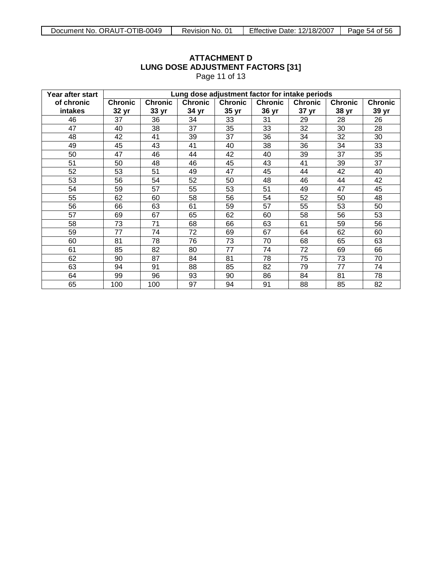|                  |                |                                                |                | 1 agus 11 01 10 |                |                |                |                |  |
|------------------|----------------|------------------------------------------------|----------------|-----------------|----------------|----------------|----------------|----------------|--|
| Year after start |                | Lung dose adjustment factor for intake periods |                |                 |                |                |                |                |  |
| of chronic       | <b>Chronic</b> | <b>Chronic</b>                                 | <b>Chronic</b> | <b>Chronic</b>  | <b>Chronic</b> | <b>Chronic</b> | <b>Chronic</b> | <b>Chronic</b> |  |
| intakes          | 32 yr          | 33 yr                                          | 34 yr          | 35 yr           | 36 yr          | 37 yr          | 38 yr          | 39 yr          |  |
| 46               | 37             | 36                                             | 34             | 33              | 31             | 29             | 28             | 26             |  |
| 47               | 40             | 38                                             | 37             | 35              | 33             | 32             | 30             | 28             |  |
| 48               | 42             | 41                                             | 39             | 37              | 36             | 34             | 32             | 30             |  |
| 49               | 45             | 43                                             | 41             | 40              | 38             | 36             | 34             | 33             |  |
| 50               | 47             | 46                                             | 44             | 42              | 40             | 39             | 37             | 35             |  |
| 51               | 50             | 48                                             | 46             | 45              | 43             | 41             | 39             | 37             |  |
| 52               | 53             | 51                                             | 49             | 47              | 45             | 44             | 42             | 40             |  |
| 53               | 56             | 54                                             | 52             | 50              | 48             | 46             | 44             | 42             |  |
| 54               | 59             | 57                                             | 55             | 53              | 51             | 49             | 47             | 45             |  |
| 55               | 62             | 60                                             | 58             | 56              | 54             | 52             | 50             | 48             |  |
| 56               | 66             | 63                                             | 61             | 59              | 57             | 55             | 53             | 50             |  |
| 57               | 69             | 67                                             | 65             | 62              | 60             | 58             | 56             | 53             |  |
| 58               | 73             | 71                                             | 68             | 66              | 63             | 61             | 59             | 56             |  |
| 59               | 77             | 74                                             | 72             | 69              | 67             | 64             | 62             | 60             |  |
| 60               | 81             | 78                                             | 76             | 73              | 70             | 68             | 65             | 63             |  |
| 61               | 85             | 82                                             | 80             | 77              | 74             | 72             | 69             | 66             |  |
| 62               | 90             | 87                                             | 84             | 81              | 78             | 75             | 73             | 70             |  |
| 63               | 94             | 91                                             | 88             | 85              | 82             | 79             | 77             | 74             |  |
| 64               | 99             | 96                                             | 93             | 90              | 86             | 84             | 81             | 78             |  |
| 65               | 100            | 100                                            | 97             | 94              | 91             | 88             | 85             | 82             |  |

Page 11 of 13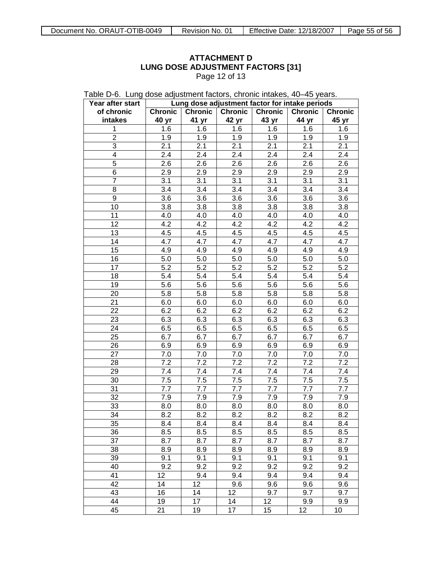Page 12 of 13

| Table D-6. Lung dose adjustment factors, chronic intakes, 40–45 years. |  |
|------------------------------------------------------------------------|--|
|------------------------------------------------------------------------|--|

| Year after start | Lung dose adjustment factor for intake periods |                                  |       |                  |                  |                  |  |  |
|------------------|------------------------------------------------|----------------------------------|-------|------------------|------------------|------------------|--|--|
| of chronic       | <b>Chronic</b>                                 | <b>Chronic</b><br><b>Chronic</b> |       | <b>Chronic</b>   | <b>Chronic</b>   | <b>Chronic</b>   |  |  |
| intakes          | 40 yr                                          | 41 yr                            | 42 yr | 43 yr            | 44 yr            | 45 yr            |  |  |
| 1                | 1.6                                            | 1.6                              | 1.6   | 1.6              | 1.6              | 1.6              |  |  |
| $\overline{2}$   | 1.9                                            | 1.9                              | 1.9   | 1.9              | 1.9              | 1.9              |  |  |
| 3                | 2.1                                            | 2.1                              | 2.1   | 2.1              | 2.1              | 2.1              |  |  |
| 4                | 2.4                                            | 2.4                              | 2.4   | 2.4              | 2.4              | 2.4              |  |  |
| 5                | 2.6                                            | 2.6                              | 2.6   | $\overline{2.6}$ | 2.6              | 2.6              |  |  |
| 6                | 2.9                                            | 2.9                              | 2.9   | 2.9              | 2.9              | 2.9              |  |  |
| $\overline{7}$   | 3.1                                            | 3.1                              | 3.1   | 3.1              | 3.1              | 3.1              |  |  |
| 8                | 3.4                                            | 3.4                              | 3.4   | 3.4              | 3.4              | 3.4              |  |  |
| 9                | 3.6                                            | 3.6                              | 3.6   | 3.6              | 3.6              | 3.6              |  |  |
| 10               | 3.8                                            | 3.8                              | 3.8   | 3.8              | 3.8              | 3.8              |  |  |
| 11               | 4.0                                            | 4.0                              | 4.0   | 4.0              | 4.0              | 4.0              |  |  |
| 12               | 4.2                                            | 4.2                              | 4.2   | 4.2              | $4.\overline{2}$ | $4.\overline{2}$ |  |  |
| 13               | 4.5                                            | 4.5                              | 4.5   | 4.5              | 4.5              | 4.5              |  |  |
| 14               | $4.\overline{7}$                               | 4.7                              | 4.7   | 4.7              | $4.\overline{7}$ | $4.\overline{7}$ |  |  |
| 15               | 4.9                                            | 4.9                              | 4.9   | 4.9              | 4.9              | 4.9              |  |  |
| 16               | 5.0                                            | 5.0                              | 5.0   | 5.0              | 5.0              | 5.0              |  |  |
| 17               | 5.2                                            | 5.2                              | 5.2   | 5.2              | 5.2              | $5.\overline{2}$ |  |  |
| 18               | 5.4                                            | 5.4                              | 5.4   | 5.4              | 5.4              | 5.4              |  |  |
| 19               | 5.6                                            | 5.6                              | 5.6   | 5.6              | 5.6              | 5.6              |  |  |
| 20               | 5.8                                            | 5.8                              | 5.8   | 5.8              | 5.8              | 5.8              |  |  |
| 21               | 6.0                                            | 6.0                              | 6.0   | 6.0              | 6.0              | 6.0              |  |  |
| 22               | 6.2                                            | 6.2                              | 6.2   | 6.2              | 6.2              | 6.2              |  |  |
| 23               | 6.3                                            | 6.3                              | 6.3   | 6.3              | 6.3              | 6.3              |  |  |
| 24               | 6.5                                            | 6.5                              | 6.5   | 6.5              | 6.5              | 6.5              |  |  |
| 25               | 6.7                                            | 6.7                              | 6.7   | 6.7              | 6.7              | 6.7              |  |  |
| 26               | 6.9                                            | 6.9                              | 6.9   | 6.9              | 6.9              | 6.9              |  |  |
| 27               | 7.0                                            | $7.0\,$                          | 7.0   | 7.0              | 7.0              | 7.0              |  |  |
| 28               | 7.2                                            | 7.2                              | 7.2   | 7.2              | 7.2              | 7.2              |  |  |
| 29               | 7.4                                            | 7.4                              | 7.4   | 7.4              | 7.4              | 7.4              |  |  |
| 30               | 7.5                                            | 7.5                              | 7.5   | 7.5              | 7.5              | 7.5              |  |  |
| 31               | 7.7                                            | 7.7                              | 7.7   | 7.7              | 7.7              | 7.7              |  |  |
| 32               | 7.9                                            | 7.9                              | 7.9   | 7.9              | 7.9              | 7.9              |  |  |
| 33               | 8.0                                            | 8.0                              | 8.0   | 8.0              | 8.0              | 8.0              |  |  |
| 34               | 8.2                                            | 8.2                              | 8.2   | 8.2              | 8.2              | 8.2              |  |  |
| $\overline{35}$  | 8.4                                            | 8.4                              | 8.4   | 8.4              | 8.4              | 8.4              |  |  |
| 36               | 8.5                                            | 8.5                              | 8.5   | 8.5              | 8.5              | 8.5              |  |  |
| 37               | 8.7                                            | 8.7                              | 8.7   | 8.7              | 8.7              | 8.7              |  |  |
| 38               | 8.9                                            | 8.9                              | 8.9   | 8.9              | 8.9              | 8.9              |  |  |
| 39               | 9.1                                            | 9.1                              | 9.1   | 9.1              | 9.1              | 9.1              |  |  |
| 40               | 9.2                                            | 9.2                              | 9.2   | 9.2              | 9.2              | 9.2              |  |  |
| 41               | 12                                             | 9.4                              | 9.4   | 9.4              | 9.4              | 9.4              |  |  |
| 42               | 14                                             | 12                               | 9.6   | 9.6              | 9.6              | 9.6              |  |  |
| 43               | 16                                             | 14                               | 12    | 9.7              | 9.7              | 9.7              |  |  |
| 44               | 19                                             | 17                               | 14    | 12               | 9.9              | 9.9              |  |  |
| 45               | 21                                             | 19                               | 17    | 15               | 12               | 10               |  |  |